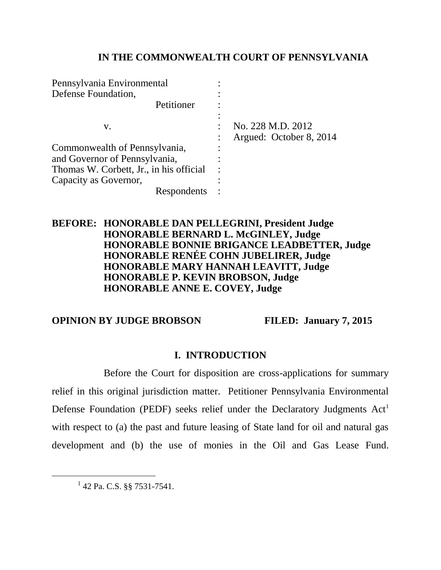## **IN THE COMMONWEALTH COURT OF PENNSYLVANIA**

| Pennsylvania Environmental              |   |                         |
|-----------------------------------------|---|-------------------------|
| Defense Foundation,                     |   |                         |
| Petitioner                              |   |                         |
|                                         |   |                         |
| V.                                      |   | No. 228 M.D. 2012       |
|                                         |   | Argued: October 8, 2014 |
| Commonwealth of Pennsylvania,           |   |                         |
| and Governor of Pennsylvania,           |   |                         |
| Thomas W. Corbett, Jr., in his official | ٠ |                         |
| Capacity as Governor,                   |   |                         |
| Respondents                             |   |                         |

### **BEFORE: HONORABLE DAN PELLEGRINI, President Judge HONORABLE BERNARD L. McGINLEY, Judge HONORABLE BONNIE BRIGANCE LEADBETTER, Judge HONORABLE RENÉE COHN JUBELIRER, Judge HONORABLE MARY HANNAH LEAVITT, Judge HONORABLE P. KEVIN BROBSON, Judge HONORABLE ANNE E. COVEY, Judge**

## **OPINION BY JUDGE BROBSON FILED: January 7, 2015**

## **I. INTRODUCTION**

Before the Court for disposition are cross-applications for summary relief in this original jurisdiction matter. Petitioner Pennsylvania Environmental Defense Foundation (PEDF) seeks relief under the Declaratory Judgments  $Act<sup>1</sup>$ with respect to (a) the past and future leasing of State land for oil and natural gas development and (b) the use of monies in the Oil and Gas Lease Fund.

<sup>1</sup> 42 Pa. C.S. §§ 7531-7541.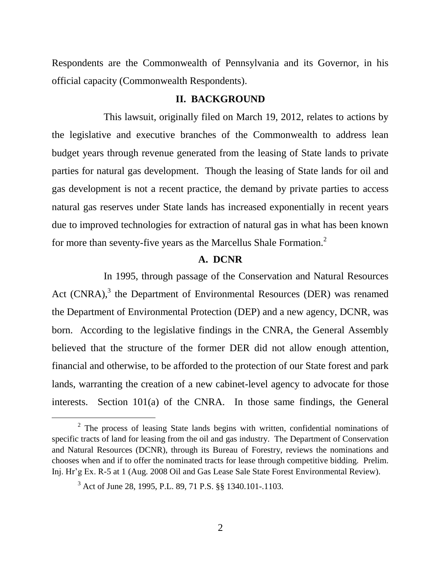Respondents are the Commonwealth of Pennsylvania and its Governor, in his official capacity (Commonwealth Respondents).

#### **II. BACKGROUND**

This lawsuit, originally filed on March 19, 2012, relates to actions by the legislative and executive branches of the Commonwealth to address lean budget years through revenue generated from the leasing of State lands to private parties for natural gas development. Though the leasing of State lands for oil and gas development is not a recent practice, the demand by private parties to access natural gas reserves under State lands has increased exponentially in recent years due to improved technologies for extraction of natural gas in what has been known for more than seventy-five years as the Marcellus Shale Formation.<sup>2</sup>

#### **A. DCNR**

In 1995, through passage of the Conservation and Natural Resources Act  $(CNRA)$ ,<sup>3</sup> the Department of Environmental Resources (DER) was renamed the Department of Environmental Protection (DEP) and a new agency, DCNR, was born. According to the legislative findings in the CNRA, the General Assembly believed that the structure of the former DER did not allow enough attention, financial and otherwise, to be afforded to the protection of our State forest and park lands, warranting the creation of a new cabinet-level agency to advocate for those interests. Section 101(a) of the CNRA. In those same findings, the General

 $2$  The process of leasing State lands begins with written, confidential nominations of specific tracts of land for leasing from the oil and gas industry. The Department of Conservation and Natural Resources (DCNR), through its Bureau of Forestry, reviews the nominations and chooses when and if to offer the nominated tracts for lease through competitive bidding. Prelim. Inj. Hr'g Ex. R-5 at 1 (Aug. 2008 Oil and Gas Lease Sale State Forest Environmental Review).

<sup>3</sup> Act of June 28, 1995, P.L. 89, 71 P.S. §§ 1340.101-.1103.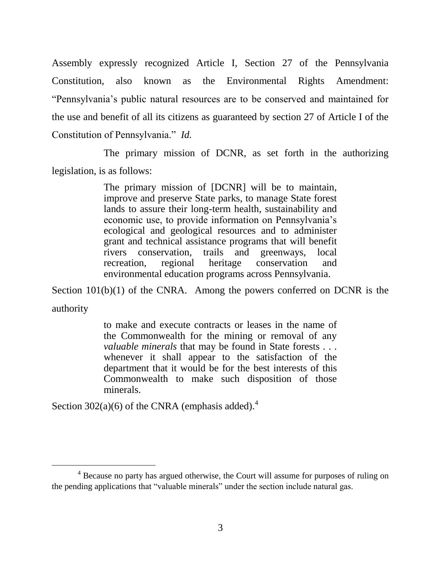Assembly expressly recognized Article I, Section 27 of the Pennsylvania Constitution, also known as the Environmental Rights Amendment: "Pennsylvania's public natural resources are to be conserved and maintained for the use and benefit of all its citizens as guaranteed by section 27 of Article I of the Constitution of Pennsylvania." *Id.*

The primary mission of DCNR, as set forth in the authorizing legislation, is as follows:

> The primary mission of [DCNR] will be to maintain, improve and preserve State parks, to manage State forest lands to assure their long-term health, sustainability and economic use, to provide information on Pennsylvania's ecological and geological resources and to administer grant and technical assistance programs that will benefit rivers conservation, trails and greenways, local recreation, regional heritage conservation and environmental education programs across Pennsylvania.

Section 101(b)(1) of the CNRA. Among the powers conferred on DCNR is the authority

> to make and execute contracts or leases in the name of the Commonwealth for the mining or removal of any *valuable minerals* that may be found in State forests . . . whenever it shall appear to the satisfaction of the department that it would be for the best interests of this Commonwealth to make such disposition of those minerals.

Section 302(a)(6) of the CNRA (emphasis added).<sup>4</sup>

<sup>&</sup>lt;sup>4</sup> Because no party has argued otherwise, the Court will assume for purposes of ruling on the pending applications that "valuable minerals" under the section include natural gas.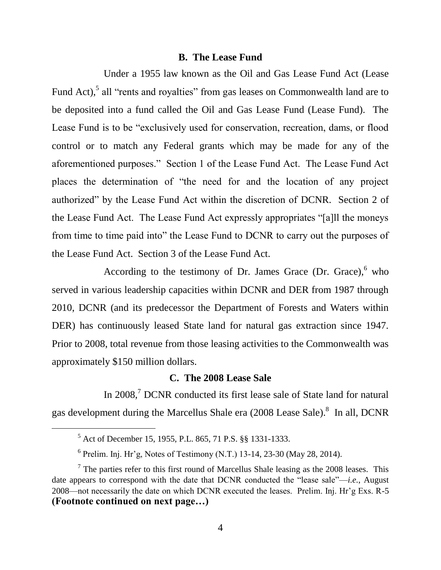#### **B. The Lease Fund**

Under a 1955 law known as the Oil and Gas Lease Fund Act (Lease Fund Act),<sup>5</sup> all "rents and royalties" from gas leases on Commonwealth land are to be deposited into a fund called the Oil and Gas Lease Fund (Lease Fund). The Lease Fund is to be "exclusively used for conservation, recreation, dams, or flood control or to match any Federal grants which may be made for any of the aforementioned purposes." Section 1 of the Lease Fund Act. The Lease Fund Act places the determination of "the need for and the location of any project authorized" by the Lease Fund Act within the discretion of DCNR. Section 2 of the Lease Fund Act. The Lease Fund Act expressly appropriates "[a]ll the moneys from time to time paid into" the Lease Fund to DCNR to carry out the purposes of the Lease Fund Act. Section 3 of the Lease Fund Act.

According to the testimony of Dr. James Grace (Dr. Grace), $6$  who served in various leadership capacities within DCNR and DER from 1987 through 2010, DCNR (and its predecessor the Department of Forests and Waters within DER) has continuously leased State land for natural gas extraction since 1947. Prior to 2008, total revenue from those leasing activities to the Commonwealth was approximately \$150 million dollars.

### **C. The 2008 Lease Sale**

In 2008,<sup>7</sup> DCNR conducted its first lease sale of State land for natural gas development during the Marcellus Shale era  $(2008$  Lease Sale).<sup>8</sup> In all, DCNR

<sup>5</sup> Act of December 15, 1955, P.L. 865, 71 P.S. §§ 1331-1333.

 $6$  Prelim. Inj. Hr'g, Notes of Testimony (N.T.) 13-14, 23-30 (May 28, 2014).

 $7$  The parties refer to this first round of Marcellus Shale leasing as the 2008 leases. This date appears to correspond with the date that DCNR conducted the "lease sale"—*i.e.*, August 2008—not necessarily the date on which DCNR executed the leases. Prelim. Inj. Hr'g Exs. R-5 **(Footnote continued on next page…)**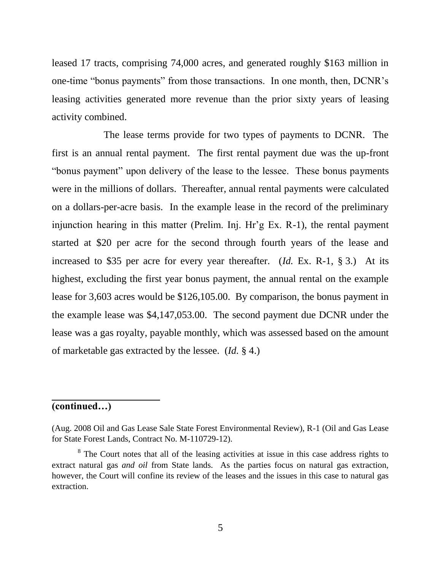leased 17 tracts, comprising 74,000 acres, and generated roughly \$163 million in one-time "bonus payments" from those transactions. In one month, then, DCNR's leasing activities generated more revenue than the prior sixty years of leasing activity combined.

The lease terms provide for two types of payments to DCNR. The first is an annual rental payment. The first rental payment due was the up-front "bonus payment" upon delivery of the lease to the lessee. These bonus payments were in the millions of dollars. Thereafter, annual rental payments were calculated on a dollars-per-acre basis. In the example lease in the record of the preliminary injunction hearing in this matter (Prelim. Inj. Hr'g Ex. R-1), the rental payment started at \$20 per acre for the second through fourth years of the lease and increased to \$35 per acre for every year thereafter. (*Id.* Ex. R-1, § 3.) At its highest, excluding the first year bonus payment, the annual rental on the example lease for 3,603 acres would be \$126,105.00. By comparison, the bonus payment in the example lease was \$4,147,053.00. The second payment due DCNR under the lease was a gas royalty, payable monthly, which was assessed based on the amount of marketable gas extracted by the lessee. (*Id.* § 4.)

## **(continued…)**

<sup>(</sup>Aug. 2008 Oil and Gas Lease Sale State Forest Environmental Review), R-1 (Oil and Gas Lease for State Forest Lands, Contract No. M-110729-12).

<sup>&</sup>lt;sup>8</sup> The Court notes that all of the leasing activities at issue in this case address rights to extract natural gas *and oil* from State lands. As the parties focus on natural gas extraction, however, the Court will confine its review of the leases and the issues in this case to natural gas extraction.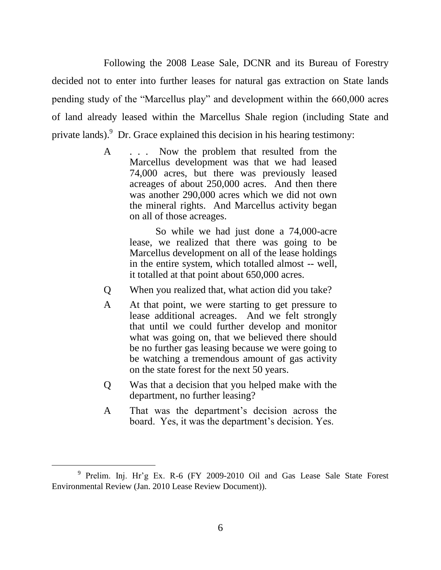Following the 2008 Lease Sale, DCNR and its Bureau of Forestry decided not to enter into further leases for natural gas extraction on State lands pending study of the "Marcellus play" and development within the 660,000 acres of land already leased within the Marcellus Shale region (including State and private lands).  $9^9$  Dr. Grace explained this decision in his hearing testimony:

> A . . . Now the problem that resulted from the Marcellus development was that we had leased 74,000 acres, but there was previously leased acreages of about 250,000 acres. And then there was another 290,000 acres which we did not own the mineral rights. And Marcellus activity began on all of those acreages.

> > So while we had just done a 74,000-acre lease, we realized that there was going to be Marcellus development on all of the lease holdings in the entire system, which totalled almost -- well, it totalled at that point about 650,000 acres.

- Q When you realized that, what action did you take?
- A At that point, we were starting to get pressure to lease additional acreages. And we felt strongly that until we could further develop and monitor what was going on, that we believed there should be no further gas leasing because we were going to be watching a tremendous amount of gas activity on the state forest for the next 50 years.
- Q Was that a decision that you helped make with the department, no further leasing?
- A That was the department's decision across the board. Yes, it was the department's decision. Yes.

<sup>&</sup>lt;sup>9</sup> Prelim. Inj. Hr'g Ex. R-6 (FY 2009-2010 Oil and Gas Lease Sale State Forest Environmental Review (Jan. 2010 Lease Review Document)).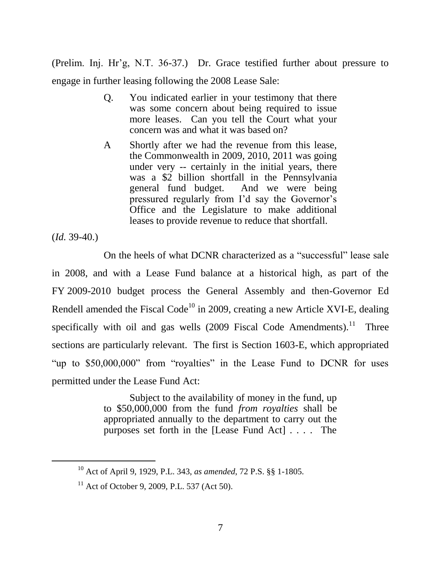(Prelim. Inj. Hr'g, N.T. 36-37.) Dr. Grace testified further about pressure to engage in further leasing following the 2008 Lease Sale:

- Q. You indicated earlier in your testimony that there was some concern about being required to issue more leases. Can you tell the Court what your concern was and what it was based on?
- A Shortly after we had the revenue from this lease, the Commonwealth in 2009, 2010, 2011 was going under very -- certainly in the initial years, there was a \$2 billion shortfall in the Pennsylvania general fund budget. And we were being pressured regularly from I'd say the Governor's Office and the Legislature to make additional leases to provide revenue to reduce that shortfall.

(*Id.* 39-40.)

 $\overline{a}$ 

On the heels of what DCNR characterized as a "successful" lease sale in 2008, and with a Lease Fund balance at a historical high, as part of the FY 2009-2010 budget process the General Assembly and then-Governor Ed Rendell amended the Fiscal Code<sup>10</sup> in 2009, creating a new Article XVI-E, dealing specifically with oil and gas wells  $(2009)$  Fiscal Code Amendments).<sup>11</sup> Three sections are particularly relevant. The first is Section 1603-E, which appropriated "up to \$50,000,000" from "royalties" in the Lease Fund to DCNR for uses permitted under the Lease Fund Act:

> Subject to the availability of money in the fund, up to \$50,000,000 from the fund *from royalties* shall be appropriated annually to the department to carry out the purposes set forth in the [Lease Fund Act] . . . . The

<sup>10</sup> Act of April 9, 1929, P.L. 343, *as amended*, 72 P.S. §§ 1-1805.

<sup>&</sup>lt;sup>11</sup> Act of October 9, 2009, P.L. 537 (Act 50).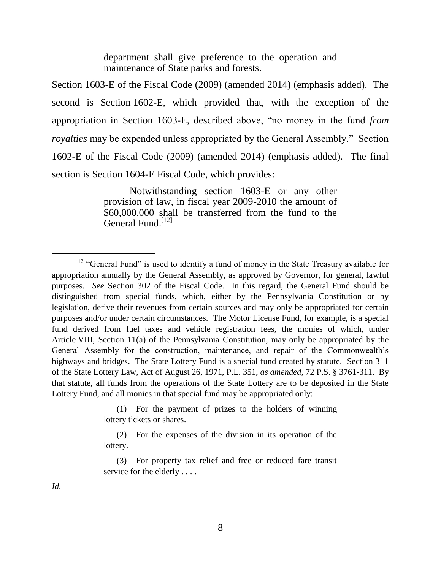department shall give preference to the operation and maintenance of State parks and forests.

Section 1603-E of the Fiscal Code (2009) (amended 2014) (emphasis added). The second is Section 1602-E, which provided that, with the exception of the appropriation in Section 1603-E, described above, "no money in the fund *from royalties* may be expended unless appropriated by the General Assembly." Section 1602-E of the Fiscal Code (2009) (amended 2014) (emphasis added). The final section is Section 1604-E Fiscal Code, which provides:

> Notwithstanding section 1603-E or any other provision of law, in fiscal year 2009-2010 the amount of \$60,000,000 shall be transferred from the fund to the General Fund.<sup>[12]</sup>

(1) For the payment of prizes to the holders of winning lottery tickets or shares.

(2) For the expenses of the division in its operation of the lottery.

(3) For property tax relief and free or reduced fare transit service for the elderly . . . .

*Id.*

<sup>&</sup>lt;sup>12</sup> "General Fund" is used to identify a fund of money in the State Treasury available for appropriation annually by the General Assembly, as approved by Governor, for general, lawful purposes. *See* Section 302 of the Fiscal Code. In this regard, the General Fund should be distinguished from special funds, which, either by the Pennsylvania Constitution or by legislation, derive their revenues from certain sources and may only be appropriated for certain purposes and/or under certain circumstances. The Motor License Fund, for example, is a special fund derived from fuel taxes and vehicle registration fees, the monies of which, under Article VIII, Section 11(a) of the Pennsylvania Constitution, may only be appropriated by the General Assembly for the construction, maintenance, and repair of the Commonwealth's highways and bridges. The State Lottery Fund is a special fund created by statute. Section 311 of the State Lottery Law, Act of August 26, 1971, P.L. 351, *as amended*, 72 P.S. § 3761-311. By that statute, all funds from the operations of the State Lottery are to be deposited in the State Lottery Fund, and all monies in that special fund may be appropriated only: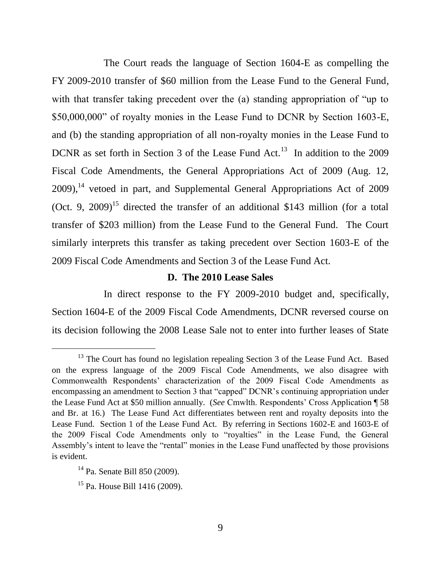The Court reads the language of Section 1604-E as compelling the FY 2009-2010 transfer of \$60 million from the Lease Fund to the General Fund, with that transfer taking precedent over the (a) standing appropriation of "up to \$50,000,000" of royalty monies in the Lease Fund to DCNR by Section 1603-E, and (b) the standing appropriation of all non-royalty monies in the Lease Fund to DCNR as set forth in Section 3 of the Lease Fund Act.<sup>13</sup> In addition to the 2009 Fiscal Code Amendments, the General Appropriations Act of 2009 (Aug. 12,  $2009$ ,<sup>14</sup> vetoed in part, and Supplemental General Appropriations Act of 2009 (Oct. 9, 2009)<sup>15</sup> directed the transfer of an additional \$143 million (for a total transfer of \$203 million) from the Lease Fund to the General Fund. The Court similarly interprets this transfer as taking precedent over Section 1603-E of the 2009 Fiscal Code Amendments and Section 3 of the Lease Fund Act.

#### **D. The 2010 Lease Sales**

In direct response to the FY 2009-2010 budget and, specifically, Section 1604-E of the 2009 Fiscal Code Amendments, DCNR reversed course on its decision following the 2008 Lease Sale not to enter into further leases of State

<sup>&</sup>lt;sup>13</sup> The Court has found no legislation repealing Section 3 of the Lease Fund Act. Based on the express language of the 2009 Fiscal Code Amendments, we also disagree with Commonwealth Respondents' characterization of the 2009 Fiscal Code Amendments as encompassing an amendment to Section 3 that "capped" DCNR's continuing appropriation under the Lease Fund Act at \$50 million annually. (*See* Cmwlth. Respondents' Cross Application ¶ 58 and Br. at 16.) The Lease Fund Act differentiates between rent and royalty deposits into the Lease Fund. Section 1 of the Lease Fund Act. By referring in Sections 1602-E and 1603-E of the 2009 Fiscal Code Amendments only to "royalties" in the Lease Fund, the General Assembly's intent to leave the "rental" monies in the Lease Fund unaffected by those provisions is evident.

<sup>14</sup> Pa. Senate Bill 850 (2009).

<sup>15</sup> Pa. House Bill 1416 (2009).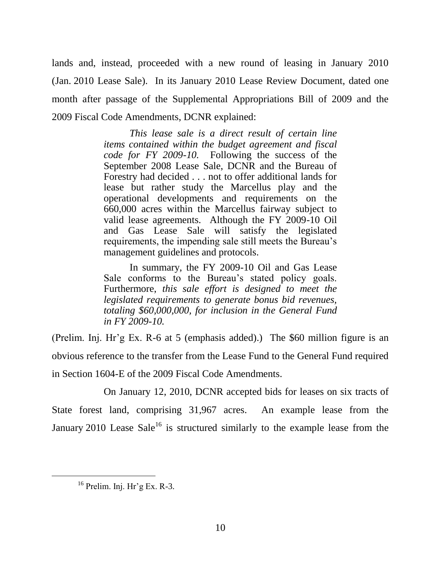lands and, instead, proceeded with a new round of leasing in January 2010 (Jan. 2010 Lease Sale). In its January 2010 Lease Review Document, dated one month after passage of the Supplemental Appropriations Bill of 2009 and the 2009 Fiscal Code Amendments, DCNR explained:

> *This lease sale is a direct result of certain line items contained within the budget agreement and fiscal code for FY 2009-10.* Following the success of the September 2008 Lease Sale, DCNR and the Bureau of Forestry had decided . . . not to offer additional lands for lease but rather study the Marcellus play and the operational developments and requirements on the 660,000 acres within the Marcellus fairway subject to valid lease agreements. Although the FY 2009-10 Oil and Gas Lease Sale will satisfy the legislated requirements, the impending sale still meets the Bureau's management guidelines and protocols.

> In summary, the FY 2009-10 Oil and Gas Lease Sale conforms to the Bureau's stated policy goals. Furthermore, *this sale effort is designed to meet the legislated requirements to generate bonus bid revenues, totaling \$60,000,000, for inclusion in the General Fund in FY 2009-10.*

(Prelim. Inj. Hr'g Ex. R-6 at 5 (emphasis added).) The \$60 million figure is an obvious reference to the transfer from the Lease Fund to the General Fund required in Section 1604-E of the 2009 Fiscal Code Amendments.

On January 12, 2010, DCNR accepted bids for leases on six tracts of State forest land, comprising 31,967 acres. An example lease from the January 2010 Lease Sale<sup>16</sup> is structured similarly to the example lease from the

 $16$  Prelim. Inj. Hr'g Ex. R-3.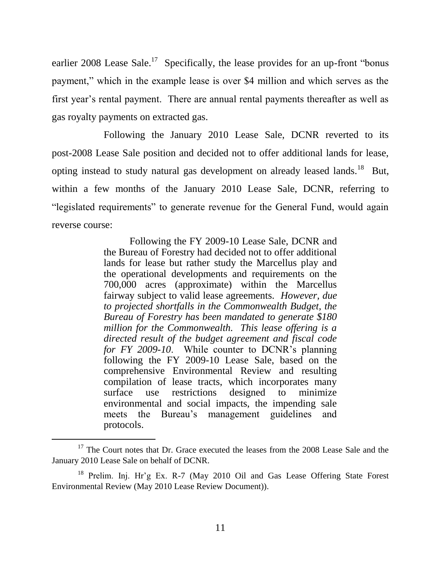earlier 2008 Lease Sale.<sup>17</sup> Specifically, the lease provides for an up-front "bonus" payment," which in the example lease is over \$4 million and which serves as the first year's rental payment. There are annual rental payments thereafter as well as gas royalty payments on extracted gas.

Following the January 2010 Lease Sale, DCNR reverted to its post-2008 Lease Sale position and decided not to offer additional lands for lease, opting instead to study natural gas development on already leased lands.<sup>18</sup> But, within a few months of the January 2010 Lease Sale, DCNR, referring to "legislated requirements" to generate revenue for the General Fund, would again reverse course:

> Following the FY 2009-10 Lease Sale, DCNR and the Bureau of Forestry had decided not to offer additional lands for lease but rather study the Marcellus play and the operational developments and requirements on the 700,000 acres (approximate) within the Marcellus fairway subject to valid lease agreements. *However, due to projected shortfalls in the Commonwealth Budget, the Bureau of Forestry has been mandated to generate \$180 million for the Commonwealth. This lease offering is a directed result of the budget agreement and fiscal code for FY 2009-10*. While counter to DCNR's planning following the FY 2009-10 Lease Sale, based on the comprehensive Environmental Review and resulting compilation of lease tracts, which incorporates many surface use restrictions designed to minimize environmental and social impacts, the impending sale meets the Bureau's management guidelines and protocols.

<sup>&</sup>lt;sup>17</sup> The Court notes that Dr. Grace executed the leases from the 2008 Lease Sale and the January 2010 Lease Sale on behalf of DCNR.

<sup>&</sup>lt;sup>18</sup> Prelim. Inj. Hr'g Ex. R-7 (May 2010 Oil and Gas Lease Offering State Forest Environmental Review (May 2010 Lease Review Document)).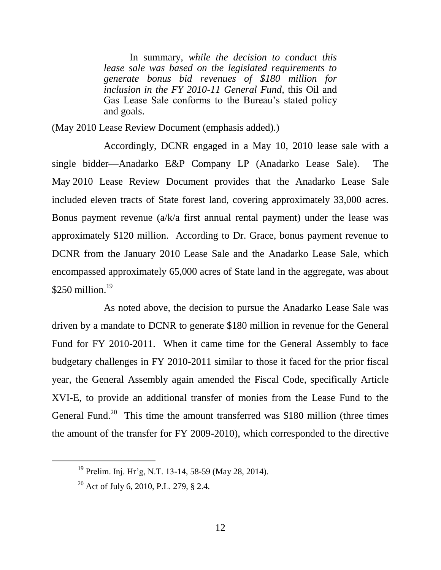In summary, *while the decision to conduct this lease sale was based on the legislated requirements to generate bonus bid revenues of \$180 million for inclusion in the FY 2010-11 General Fund*, this Oil and Gas Lease Sale conforms to the Bureau's stated policy and goals.

(May 2010 Lease Review Document (emphasis added).)

Accordingly, DCNR engaged in a May 10, 2010 lease sale with a single bidder—Anadarko E&P Company LP (Anadarko Lease Sale). The May 2010 Lease Review Document provides that the Anadarko Lease Sale included eleven tracts of State forest land, covering approximately 33,000 acres. Bonus payment revenue (a/k/a first annual rental payment) under the lease was approximately \$120 million. According to Dr. Grace, bonus payment revenue to DCNR from the January 2010 Lease Sale and the Anadarko Lease Sale, which encompassed approximately 65,000 acres of State land in the aggregate, was about  $$250$  million.<sup>19</sup>

As noted above, the decision to pursue the Anadarko Lease Sale was driven by a mandate to DCNR to generate \$180 million in revenue for the General Fund for FY 2010-2011. When it came time for the General Assembly to face budgetary challenges in FY 2010-2011 similar to those it faced for the prior fiscal year, the General Assembly again amended the Fiscal Code, specifically Article XVI-E, to provide an additional transfer of monies from the Lease Fund to the General Fund.<sup>20</sup> This time the amount transferred was \$180 million (three times the amount of the transfer for FY 2009-2010), which corresponded to the directive

<sup>19</sup> Prelim. Inj. Hr'g, N.T. 13-14, 58-59 (May 28, 2014).

<sup>20</sup> Act of July 6, 2010, P.L. 279, § 2.4.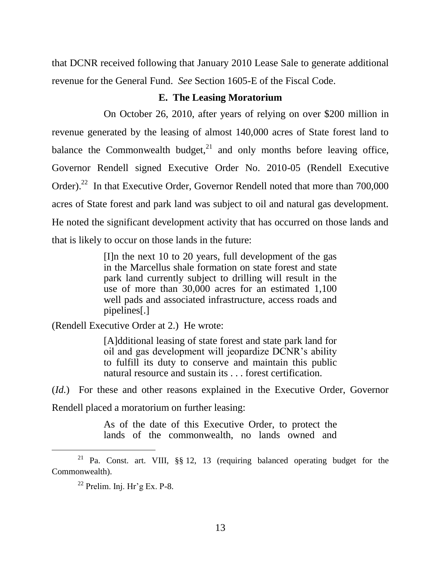that DCNR received following that January 2010 Lease Sale to generate additional revenue for the General Fund. *See* Section 1605-E of the Fiscal Code.

#### **E. The Leasing Moratorium**

On October 26, 2010, after years of relying on over \$200 million in revenue generated by the leasing of almost 140,000 acres of State forest land to balance the Commonwealth budget, $2<sup>1</sup>$  and only months before leaving office, Governor Rendell signed Executive Order No. 2010-05 (Rendell Executive Order).<sup>22</sup> In that Executive Order, Governor Rendell noted that more than  $700,000$ acres of State forest and park land was subject to oil and natural gas development. He noted the significant development activity that has occurred on those lands and that is likely to occur on those lands in the future:

> [I]n the next 10 to 20 years, full development of the gas in the Marcellus shale formation on state forest and state park land currently subject to drilling will result in the use of more than 30,000 acres for an estimated 1,100 well pads and associated infrastructure, access roads and pipelines[.]

(Rendell Executive Order at 2.) He wrote:

[A]dditional leasing of state forest and state park land for oil and gas development will jeopardize DCNR's ability to fulfill its duty to conserve and maintain this public natural resource and sustain its . . . forest certification.

(*Id.*) For these and other reasons explained in the Executive Order, Governor Rendell placed a moratorium on further leasing:

> As of the date of this Executive Order, to protect the lands of the commonwealth, no lands owned and

<sup>21</sup> Pa. Const. art. VIII, §§ 12, 13 (requiring balanced operating budget for the Commonwealth).

 $22$  Prelim. Inj. Hr'g Ex. P-8.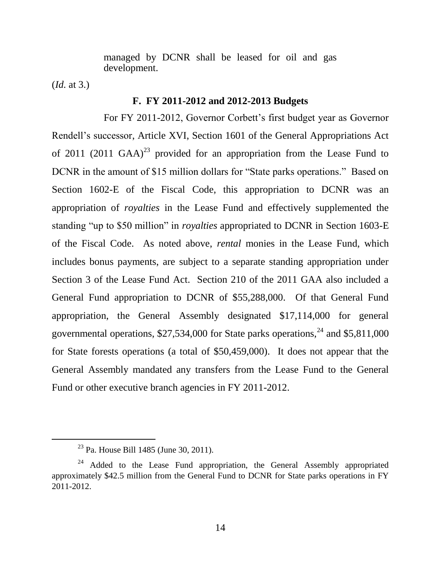managed by DCNR shall be leased for oil and gas development.

(*Id.* at 3.)

 $\overline{a}$ 

### **F. FY 2011-2012 and 2012-2013 Budgets**

For FY 2011-2012, Governor Corbett's first budget year as Governor Rendell's successor, Article XVI, Section 1601 of the General Appropriations Act of 2011 (2011 GAA)<sup>23</sup> provided for an appropriation from the Lease Fund to DCNR in the amount of \$15 million dollars for "State parks operations." Based on Section 1602-E of the Fiscal Code, this appropriation to DCNR was an appropriation of *royalties* in the Lease Fund and effectively supplemented the standing "up to \$50 million" in *royalties* appropriated to DCNR in Section 1603-E of the Fiscal Code. As noted above, *rental* monies in the Lease Fund, which includes bonus payments, are subject to a separate standing appropriation under Section 3 of the Lease Fund Act. Section 210 of the 2011 GAA also included a General Fund appropriation to DCNR of \$55,288,000. Of that General Fund appropriation, the General Assembly designated \$17,114,000 for general governmental operations,  $$27,534,000$  for State parks operations,<sup>24</sup> and  $$5,811,000$ for State forests operations (a total of \$50,459,000). It does not appear that the General Assembly mandated any transfers from the Lease Fund to the General Fund or other executive branch agencies in FY 2011-2012.

<sup>23</sup> Pa. House Bill 1485 (June 30, 2011).

<sup>&</sup>lt;sup>24</sup> Added to the Lease Fund appropriation, the General Assembly appropriated approximately \$42.5 million from the General Fund to DCNR for State parks operations in FY 2011-2012.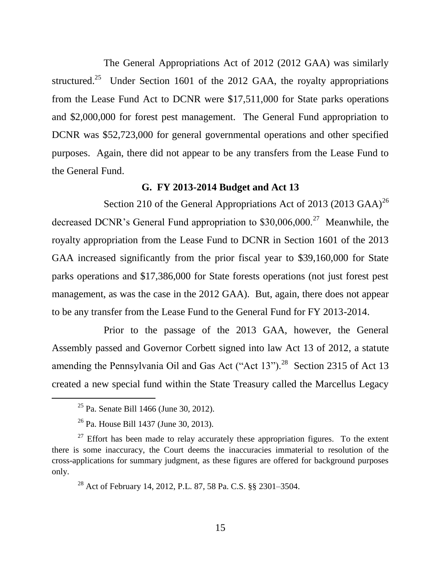The General Appropriations Act of 2012 (2012 GAA) was similarly structured.<sup>25</sup> Under Section 1601 of the 2012 GAA, the royalty appropriations from the Lease Fund Act to DCNR were \$17,511,000 for State parks operations and \$2,000,000 for forest pest management. The General Fund appropriation to DCNR was \$52,723,000 for general governmental operations and other specified purposes. Again, there did not appear to be any transfers from the Lease Fund to the General Fund.

## **G. FY 2013-2014 Budget and Act 13**

Section 210 of the General Appropriations Act of 2013 (2013 GAA)<sup>26</sup> decreased DCNR's General Fund appropriation to  $$30,006,000.<sup>27</sup>$  Meanwhile, the royalty appropriation from the Lease Fund to DCNR in Section 1601 of the 2013 GAA increased significantly from the prior fiscal year to \$39,160,000 for State parks operations and \$17,386,000 for State forests operations (not just forest pest management, as was the case in the 2012 GAA). But, again, there does not appear to be any transfer from the Lease Fund to the General Fund for FY 2013-2014.

Prior to the passage of the 2013 GAA, however, the General Assembly passed and Governor Corbett signed into law Act 13 of 2012, a statute amending the Pennsylvania Oil and Gas Act ("Act  $13$ ").<sup>28</sup> Section 2315 of Act 13 created a new special fund within the State Treasury called the Marcellus Legacy

<sup>25</sup> Pa. Senate Bill 1466 (June 30, 2012).

<sup>26</sup> Pa. House Bill 1437 (June 30, 2013).

 $27$  Effort has been made to relay accurately these appropriation figures. To the extent there is some inaccuracy, the Court deems the inaccuracies immaterial to resolution of the cross-applications for summary judgment, as these figures are offered for background purposes only.

<sup>28</sup> Act of February 14, 2012, P.L. 87, 58 Pa. C.S. §§ 2301–3504.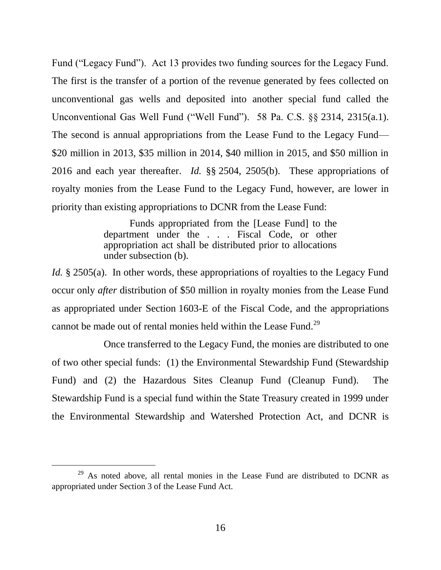Fund ("Legacy Fund"). Act 13 provides two funding sources for the Legacy Fund. The first is the transfer of a portion of the revenue generated by fees collected on unconventional gas wells and deposited into another special fund called the Unconventional Gas Well Fund ("Well Fund"). 58 Pa. C.S. §§ 2314, 2315(a.1). The second is annual appropriations from the Lease Fund to the Legacy Fund— \$20 million in 2013, \$35 million in 2014, \$40 million in 2015, and \$50 million in 2016 and each year thereafter. *Id.* §§ 2504, 2505(b). These appropriations of royalty monies from the Lease Fund to the Legacy Fund, however, are lower in priority than existing appropriations to DCNR from the Lease Fund:

> Funds appropriated from the [Lease Fund] to the department under the . . . Fiscal Code, or other appropriation act shall be distributed prior to allocations under subsection (b).

*Id.* § 2505(a). In other words, these appropriations of royalties to the Legacy Fund occur only *after* distribution of \$50 million in royalty monies from the Lease Fund as appropriated under Section 1603-E of the Fiscal Code, and the appropriations cannot be made out of rental monies held within the Lease Fund.<sup>29</sup>

Once transferred to the Legacy Fund, the monies are distributed to one of two other special funds: (1) the Environmental Stewardship Fund (Stewardship Fund) and (2) the Hazardous Sites Cleanup Fund (Cleanup Fund). The Stewardship Fund is a special fund within the State Treasury created in 1999 under the Environmental Stewardship and Watershed Protection Act, and DCNR is

<sup>&</sup>lt;sup>29</sup> As noted above, all rental monies in the Lease Fund are distributed to DCNR as appropriated under Section 3 of the Lease Fund Act.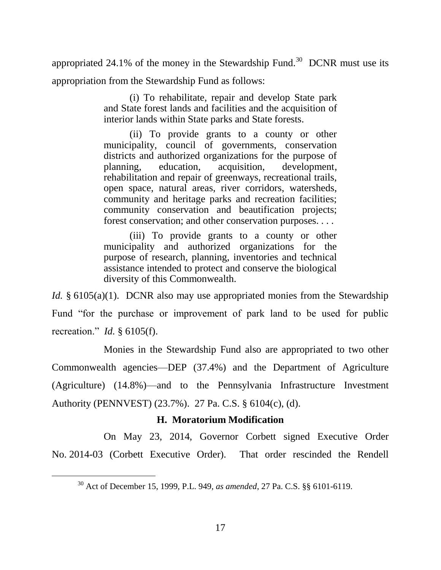appropriated 24.1% of the money in the Stewardship Fund.<sup>30</sup> DCNR must use its appropriation from the Stewardship Fund as follows:

> (i) To rehabilitate, repair and develop State park and State forest lands and facilities and the acquisition of interior lands within State parks and State forests.

(ii) To provide grants to a county or other municipality, council of governments, conservation districts and authorized organizations for the purpose of planning, education, acquisition, development, rehabilitation and repair of greenways, recreational trails, open space, natural areas, river corridors, watersheds, community and heritage parks and recreation facilities; community conservation and beautification projects; forest conservation; and other conservation purposes. . . .

(iii) To provide grants to a county or other municipality and authorized organizations for the purpose of research, planning, inventories and technical assistance intended to protect and conserve the biological diversity of this Commonwealth.

*Id.* § 6105(a)(1). DCNR also may use appropriated monies from the Stewardship Fund "for the purchase or improvement of park land to be used for public recreation." *Id.* § 6105(f).

Monies in the Stewardship Fund also are appropriated to two other Commonwealth agencies—DEP (37.4%) and the Department of Agriculture (Agriculture) (14.8%)—and to the Pennsylvania Infrastructure Investment Authority (PENNVEST) (23.7%). 27 Pa. C.S. § 6104(c), (d).

### **H. Moratorium Modification**

On May 23, 2014, Governor Corbett signed Executive Order No. 2014-03 (Corbett Executive Order). That order rescinded the Rendell

<sup>30</sup> Act of December 15, 1999, P.L. 949, *as amended*, 27 Pa. C.S. §§ 6101-6119.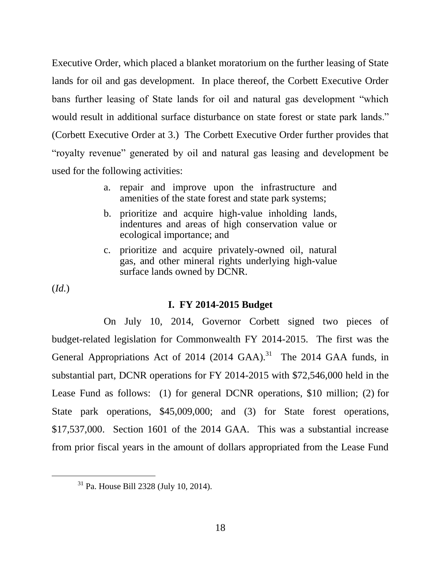Executive Order, which placed a blanket moratorium on the further leasing of State lands for oil and gas development. In place thereof, the Corbett Executive Order bans further leasing of State lands for oil and natural gas development "which would result in additional surface disturbance on state forest or state park lands." (Corbett Executive Order at 3.) The Corbett Executive Order further provides that "royalty revenue" generated by oil and natural gas leasing and development be used for the following activities:

- a. repair and improve upon the infrastructure and amenities of the state forest and state park systems;
- b. prioritize and acquire high-value inholding lands, indentures and areas of high conservation value or ecological importance; and
- c. prioritize and acquire privately-owned oil, natural gas, and other mineral rights underlying high-value surface lands owned by DCNR.

(*Id.*)

 $\overline{a}$ 

#### **I. FY 2014-2015 Budget**

On July 10, 2014, Governor Corbett signed two pieces of budget-related legislation for Commonwealth FY 2014-2015. The first was the General Appropriations Act of 2014  $(2014 \text{ GAA})$ .<sup>31</sup> The 2014 GAA funds, in substantial part, DCNR operations for FY 2014-2015 with \$72,546,000 held in the Lease Fund as follows: (1) for general DCNR operations, \$10 million; (2) for State park operations, \$45,009,000; and (3) for State forest operations, \$17,537,000. Section 1601 of the 2014 GAA. This was a substantial increase from prior fiscal years in the amount of dollars appropriated from the Lease Fund

<sup>31</sup> Pa. House Bill 2328 (July 10, 2014).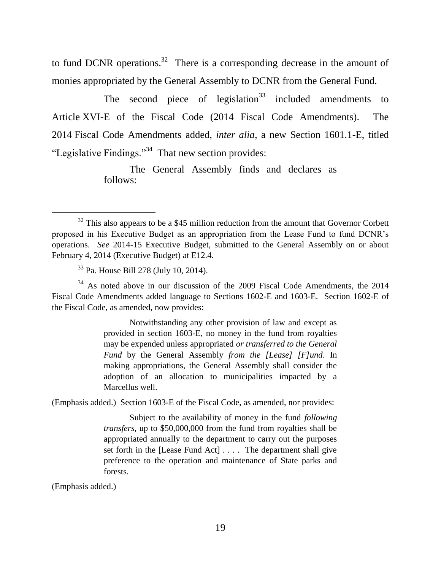to fund DCNR operations.<sup>32</sup> There is a corresponding decrease in the amount of monies appropriated by the General Assembly to DCNR from the General Fund.

The second piece of legislation<sup>33</sup> included amendments to Article XVI-E of the Fiscal Code (2014 Fiscal Code Amendments). The 2014 Fiscal Code Amendments added, *inter alia*, a new Section 1601.1-E, titled "Legislative Findings."<sup>34</sup> That new section provides:

> The General Assembly finds and declares as follows:

<sup>34</sup> As noted above in our discussion of the 2009 Fiscal Code Amendments, the 2014 Fiscal Code Amendments added language to Sections 1602-E and 1603-E. Section 1602-E of the Fiscal Code, as amended, now provides:

> Notwithstanding any other provision of law and except as provided in section 1603-E, no money in the fund from royalties may be expended unless appropriated *or transferred to the General Fund* by the General Assembly *from the [Lease] [F]und*. In making appropriations, the General Assembly shall consider the adoption of an allocation to municipalities impacted by a Marcellus well.

(Emphasis added.) Section 1603-E of the Fiscal Code, as amended, nor provides:

Subject to the availability of money in the fund *following transfers*, up to \$50,000,000 from the fund from royalties shall be appropriated annually to the department to carry out the purposes set forth in the [Lease Fund Act] . . . . The department shall give preference to the operation and maintenance of State parks and forests.

(Emphasis added.)

 $32$  This also appears to be a \$45 million reduction from the amount that Governor Corbett proposed in his Executive Budget as an appropriation from the Lease Fund to fund DCNR's operations. *See* 2014-15 Executive Budget, submitted to the General Assembly on or about February 4, 2014 (Executive Budget) at E12.4.

<sup>33</sup> Pa. House Bill 278 (July 10, 2014).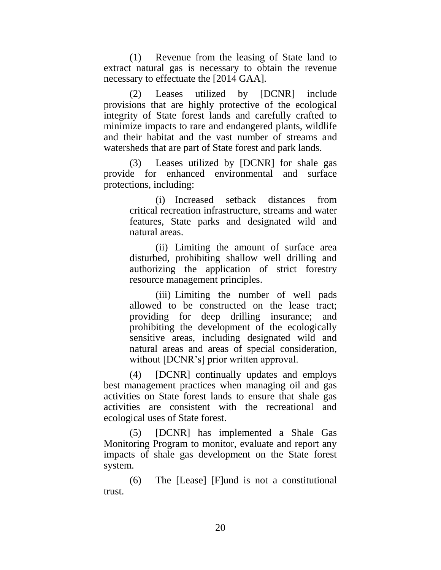(1) Revenue from the leasing of State land to extract natural gas is necessary to obtain the revenue necessary to effectuate the [2014 GAA].

(2) Leases utilized by [DCNR] include provisions that are highly protective of the ecological integrity of State forest lands and carefully crafted to minimize impacts to rare and endangered plants, wildlife and their habitat and the vast number of streams and watersheds that are part of State forest and park lands.

(3) Leases utilized by [DCNR] for shale gas provide for enhanced environmental and surface protections, including:

> (i) Increased setback distances from critical recreation infrastructure, streams and water features, State parks and designated wild and natural areas.

> (ii) Limiting the amount of surface area disturbed, prohibiting shallow well drilling and authorizing the application of strict forestry resource management principles.

> (iii) Limiting the number of well pads allowed to be constructed on the lease tract; providing for deep drilling insurance; and prohibiting the development of the ecologically sensitive areas, including designated wild and natural areas and areas of special consideration, without [DCNR's] prior written approval.

(4) [DCNR] continually updates and employs best management practices when managing oil and gas activities on State forest lands to ensure that shale gas activities are consistent with the recreational and ecological uses of State forest.

(5) [DCNR] has implemented a Shale Gas Monitoring Program to monitor, evaluate and report any impacts of shale gas development on the State forest system.

(6) The [Lease] [F]und is not a constitutional trust.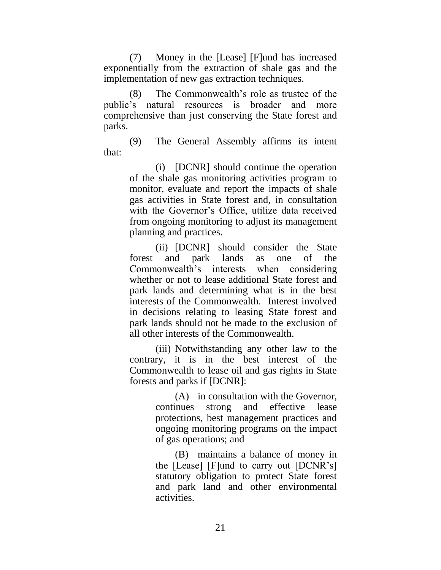(7) Money in the [Lease] [F]und has increased exponentially from the extraction of shale gas and the implementation of new gas extraction techniques.

(8) The Commonwealth's role as trustee of the public's natural resources is broader and more comprehensive than just conserving the State forest and parks.

(9) The General Assembly affirms its intent that:

> (i) [DCNR] should continue the operation of the shale gas monitoring activities program to monitor, evaluate and report the impacts of shale gas activities in State forest and, in consultation with the Governor's Office, utilize data received from ongoing monitoring to adjust its management planning and practices.

> (ii) [DCNR] should consider the State forest and park lands as one of the Commonwealth's interests when considering whether or not to lease additional State forest and park lands and determining what is in the best interests of the Commonwealth. Interest involved in decisions relating to leasing State forest and park lands should not be made to the exclusion of all other interests of the Commonwealth.

> (iii) Notwithstanding any other law to the contrary, it is in the best interest of the Commonwealth to lease oil and gas rights in State forests and parks if [DCNR]:

> > (A) in consultation with the Governor, continues strong and effective lease protections, best management practices and ongoing monitoring programs on the impact of gas operations; and

> > (B) maintains a balance of money in the [Lease] [F]und to carry out [DCNR's] statutory obligation to protect State forest and park land and other environmental activities.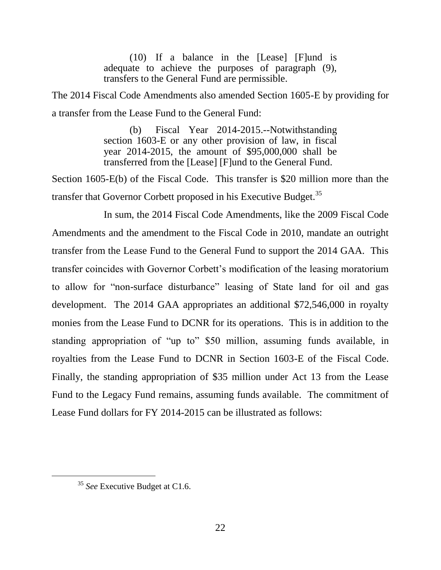(10) If a balance in the [Lease] [F]und is adequate to achieve the purposes of paragraph (9), transfers to the General Fund are permissible.

The 2014 Fiscal Code Amendments also amended Section 1605-E by providing for a transfer from the Lease Fund to the General Fund:

> (b) Fiscal Year 2014-2015.--Notwithstanding section 1603-E or any other provision of law, in fiscal year 2014-2015, the amount of \$95,000,000 shall be transferred from the [Lease] [F]und to the General Fund.

Section 1605-E(b) of the Fiscal Code. This transfer is \$20 million more than the transfer that Governor Corbett proposed in his Executive Budget.<sup>35</sup>

In sum, the 2014 Fiscal Code Amendments, like the 2009 Fiscal Code Amendments and the amendment to the Fiscal Code in 2010, mandate an outright transfer from the Lease Fund to the General Fund to support the 2014 GAA. This transfer coincides with Governor Corbett's modification of the leasing moratorium to allow for "non-surface disturbance" leasing of State land for oil and gas development. The 2014 GAA appropriates an additional \$72,546,000 in royalty monies from the Lease Fund to DCNR for its operations. This is in addition to the standing appropriation of "up to" \$50 million, assuming funds available, in royalties from the Lease Fund to DCNR in Section 1603-E of the Fiscal Code. Finally, the standing appropriation of \$35 million under Act 13 from the Lease Fund to the Legacy Fund remains, assuming funds available. The commitment of Lease Fund dollars for FY 2014-2015 can be illustrated as follows:

<sup>35</sup> *See* Executive Budget at C1.6.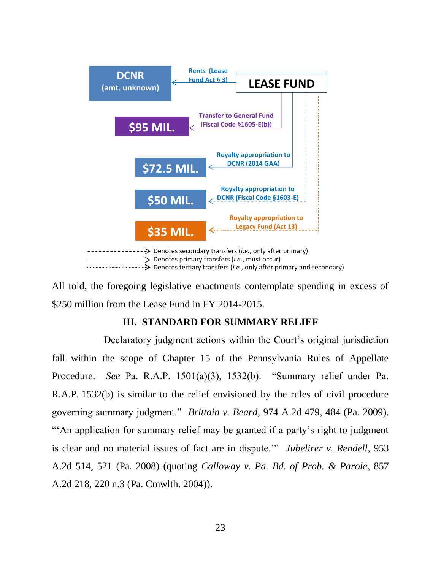

All told, the foregoing legislative enactments contemplate spending in excess of \$250 million from the Lease Fund in FY 2014-2015.

## **III. STANDARD FOR SUMMARY RELIEF**

Declaratory judgment actions within the Court's original jurisdiction fall within the scope of Chapter 15 of the Pennsylvania Rules of Appellate Procedure. *See* Pa. R.A.P. 1501(a)(3), 1532(b). "Summary relief under Pa. R.A.P. 1532(b) is similar to the relief envisioned by the rules of civil procedure governing summary judgment." *Brittain v. Beard*, 974 A.2d 479, 484 (Pa. 2009). "An application for summary relief may be granted if a party's right to judgment is clear and no material issues of fact are in dispute.'" *Jubelirer v. Rendell*, 953 A.2d 514, 521 (Pa. 2008) (quoting *Calloway v. Pa. Bd. of Prob. & Parole*, 857 A.2d 218, 220 n.3 (Pa. Cmwlth. 2004)).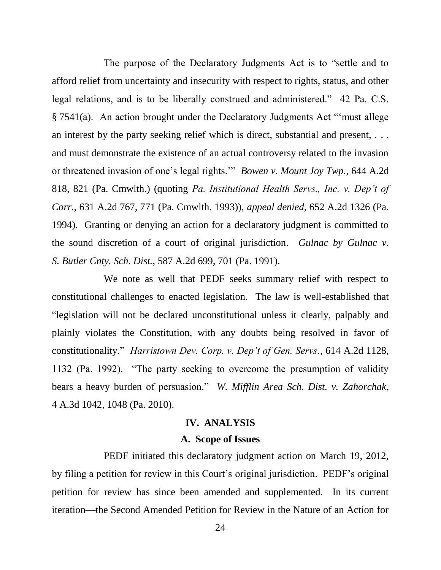The purpose of the Declaratory Judgments Act is to "settle and to afford relief from uncertainty and insecurity with respect to rights, status, and other legal relations, and is to be liberally construed and administered." 42 Pa. C.S. § [7541\(](http://web2.westlaw.com/find/default.wl?tf=-1&rs=WLW10.06&fn=_top&sv=Split&docname=PA42S7541&tc=-1&pbc=DC32B78C&ordoc=2018196236&findtype=L&db=1000262&vr=2.0&rp=%2ffind%2fdefault.wl&mt=79)a). An action brought under the Declaratory Judgments Act "'must allege an interest by the party seeking relief which is direct, substantial and present, . . . and must demonstrate the existence of an actual controversy related to the invasion or threatened invasion of one's legal rights.'" *Bowen v. Mount Joy Twp.*, 644 A.2d 818, 821 (Pa. Cmwlth.) (quoting *Pa. Institutional Health Servs., Inc. v. Dep't of Corr.*, 631 A.2d 767, 771 (Pa. Cmwlth. 1993)), *appeal denied*, 652 A.2d 1326 (Pa. 1994). Granting or denying an action for a declaratory judgment is committed to the sound discretion of a court of original jurisdiction. *Gulnac by Gulnac v. S. Butler Cnty. Sch. Dist.*, 587 A.2d 699, 701 (Pa. 1991).

We note as well that PEDF seeks summary relief with respect to constitutional challenges to enacted legislation. The law is well-established that "legislation will not be declared unconstitutional unless it clearly, palpably and plainly violates the Constitution, with any doubts being resolved in favor of constitutionality." *Harristown Dev. Corp. v. Dep't of Gen. Servs.*, 614 A.2d 1128, 1132 (Pa. 1992). "The party seeking to overcome the presumption of validity bears a heavy burden of persuasion." *W. Mifflin Area Sch. Dist. v. Zahorchak*, 4 A.3d 1042, 1048 (Pa. 2010).

## **IV. ANALYSIS**

### **A. Scope of Issues**

PEDF initiated this declaratory judgment action on March 19, 2012, by filing a petition for review in this Court's original jurisdiction. PEDF's original petition for review has since been amended and supplemented. In its current iteration—the Second Amended Petition for Review in the Nature of an Action for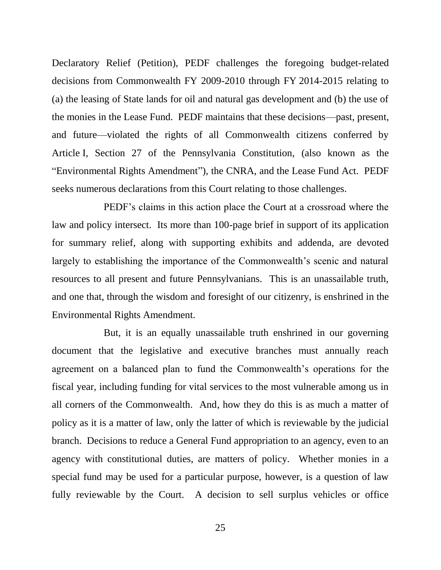Declaratory Relief (Petition), PEDF challenges the foregoing budget-related decisions from Commonwealth FY 2009-2010 through FY 2014-2015 relating to (a) the leasing of State lands for oil and natural gas development and (b) the use of the monies in the Lease Fund. PEDF maintains that these decisions—past, present, and future—violated the rights of all Commonwealth citizens conferred by Article I, Section 27 of the Pennsylvania Constitution, (also known as the "Environmental Rights Amendment"), the CNRA, and the Lease Fund Act. PEDF seeks numerous declarations from this Court relating to those challenges.

PEDF's claims in this action place the Court at a crossroad where the law and policy intersect. Its more than 100-page brief in support of its application for summary relief, along with supporting exhibits and addenda, are devoted largely to establishing the importance of the Commonwealth's scenic and natural resources to all present and future Pennsylvanians. This is an unassailable truth, and one that, through the wisdom and foresight of our citizenry, is enshrined in the Environmental Rights Amendment.

But, it is an equally unassailable truth enshrined in our governing document that the legislative and executive branches must annually reach agreement on a balanced plan to fund the Commonwealth's operations for the fiscal year, including funding for vital services to the most vulnerable among us in all corners of the Commonwealth. And, how they do this is as much a matter of policy as it is a matter of law, only the latter of which is reviewable by the judicial branch. Decisions to reduce a General Fund appropriation to an agency, even to an agency with constitutional duties, are matters of policy. Whether monies in a special fund may be used for a particular purpose, however, is a question of law fully reviewable by the Court. A decision to sell surplus vehicles or office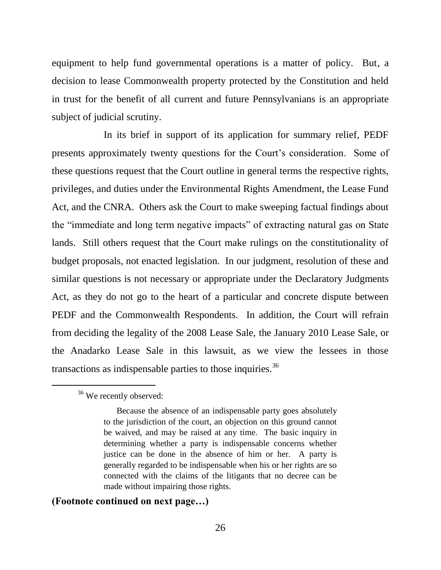equipment to help fund governmental operations is a matter of policy. But, a decision to lease Commonwealth property protected by the Constitution and held in trust for the benefit of all current and future Pennsylvanians is an appropriate subject of judicial scrutiny.

In its brief in support of its application for summary relief, PEDF presents approximately twenty questions for the Court's consideration. Some of these questions request that the Court outline in general terms the respective rights, privileges, and duties under the Environmental Rights Amendment, the Lease Fund Act, and the CNRA. Others ask the Court to make sweeping factual findings about the "immediate and long term negative impacts" of extracting natural gas on State lands. Still others request that the Court make rulings on the constitutionality of budget proposals, not enacted legislation. In our judgment, resolution of these and similar questions is not necessary or appropriate under the Declaratory Judgments Act, as they do not go to the heart of a particular and concrete dispute between PEDF and the Commonwealth Respondents. In addition, the Court will refrain from deciding the legality of the 2008 Lease Sale, the January 2010 Lease Sale, or the Anadarko Lease Sale in this lawsuit, as we view the lessees in those transactions as indispensable parties to those inquiries.<sup>36</sup>

 $\overline{a}$ 

### **(Footnote continued on next page…)**

<sup>&</sup>lt;sup>36</sup> We recently observed:

Because the absence of an indispensable party goes absolutely to the jurisdiction of the court, an objection on this ground cannot be waived, and may be raised at any time. The basic inquiry in determining whether a party is indispensable concerns whether justice can be done in the absence of him or her. A party is generally regarded to be indispensable when his or her rights are so connected with the claims of the litigants that no decree can be made without impairing those rights.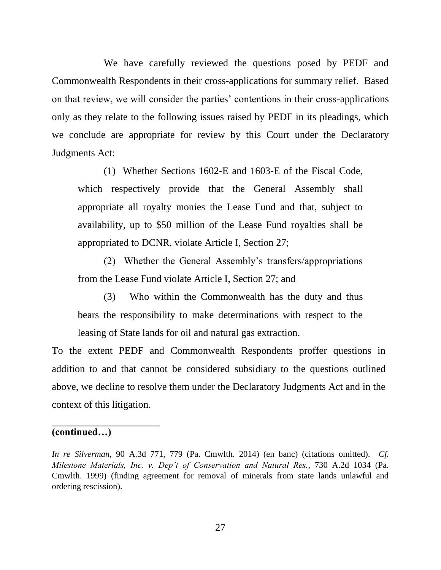We have carefully reviewed the questions posed by PEDF and Commonwealth Respondents in their cross-applications for summary relief. Based on that review, we will consider the parties' contentions in their cross-applications only as they relate to the following issues raised by PEDF in its pleadings, which we conclude are appropriate for review by this Court under the Declaratory Judgments Act:

(1) Whether Sections 1602-E and 1603-E of the Fiscal Code, which respectively provide that the General Assembly shall appropriate all royalty monies the Lease Fund and that, subject to availability, up to \$50 million of the Lease Fund royalties shall be appropriated to DCNR, violate Article I, Section 27;

(2) Whether the General Assembly's transfers/appropriations from the Lease Fund violate Article I, Section 27; and

(3) Who within the Commonwealth has the duty and thus bears the responsibility to make determinations with respect to the leasing of State lands for oil and natural gas extraction.

To the extent PEDF and Commonwealth Respondents proffer questions in addition to and that cannot be considered subsidiary to the questions outlined above, we decline to resolve them under the Declaratory Judgments Act and in the context of this litigation.

### **(continued…)**

*In re Silverman*, 90 A.3d 771, 779 (Pa. Cmwlth. 2014) (en banc) (citations omitted). *Cf. Milestone Materials, Inc. v. Dep't of Conservation and Natural Res.*, 730 A.2d 1034 (Pa. Cmwlth. 1999) (finding agreement for removal of minerals from state lands unlawful and ordering rescission).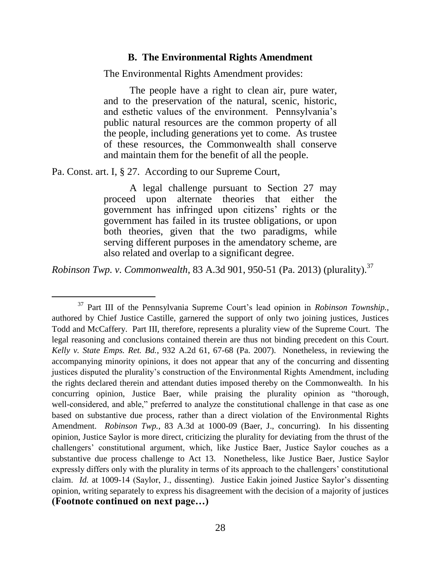#### **B. The Environmental Rights Amendment**

The Environmental Rights Amendment provides:

The people have a right to clean air, pure water, and to the preservation of the natural, scenic, historic, and esthetic values of the environment. Pennsylvania's public natural resources are the common property of all the people, including generations yet to come. As trustee of these resources, the Commonwealth shall conserve and maintain them for the benefit of all the people.

Pa. Const. art. I, § 27. According to our Supreme Court,

 $\overline{a}$ 

A legal challenge pursuant to Section 27 may proceed upon alternate theories that either the government has infringed upon citizens' rights or the government has failed in its trustee obligations, or upon both theories, given that the two paradigms, while serving different purposes in the amendatory scheme, are also related and overlap to a significant degree.

*Robinson Twp. v. Commonwealth*, 83 A.3d 901, 950-51 (Pa. 2013) (plurality).<sup>37</sup>

<sup>37</sup> Part III of the Pennsylvania Supreme Court's lead opinion in *Robinson Township.*, authored by Chief Justice Castille, garnered the support of only two joining justices, Justices Todd and McCaffery. Part III, therefore, represents a plurality view of the Supreme Court. The legal reasoning and conclusions contained therein are thus not binding precedent on this Court. *Kelly v. State Emps. Ret. Bd.*, 932 A.2d 61, 67-68 (Pa. 2007). Nonetheless, in reviewing the accompanying minority opinions, it does not appear that any of the concurring and dissenting justices disputed the plurality's construction of the Environmental Rights Amendment, including the rights declared therein and attendant duties imposed thereby on the Commonwealth. In his concurring opinion, Justice Baer, while praising the plurality opinion as "thorough, well-considered, and able," preferred to analyze the constitutional challenge in that case as one based on substantive due process, rather than a direct violation of the Environmental Rights Amendment. *Robinson Twp.*, 83 A.3d at 1000-09 (Baer, J., concurring). In his dissenting opinion, Justice Saylor is more direct, criticizing the plurality for deviating from the thrust of the challengers' constitutional argument, which, like Justice Baer, Justice Saylor couches as a substantive due process challenge to Act 13. Nonetheless, like Justice Baer, Justice Saylor expressly differs only with the plurality in terms of its approach to the challengers' constitutional claim. *Id.* at 1009-14 (Saylor, J., dissenting). Justice Eakin joined Justice Saylor's dissenting opinion, writing separately to express his disagreement with the decision of a majority of justices **(Footnote continued on next page…)**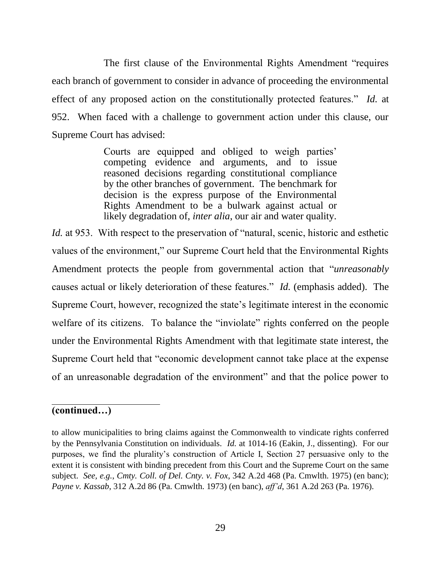The first clause of the Environmental Rights Amendment "requires each branch of government to consider in advance of proceeding the environmental effect of any proposed action on the constitutionally protected features." *Id.* at 952. When faced with a challenge to government action under this clause, our Supreme Court has advised:

> Courts are equipped and obliged to weigh parties' competing evidence and arguments, and to issue reasoned decisions regarding constitutional compliance by the other branches of government. The benchmark for decision is the express purpose of the Environmental Rights Amendment to be a bulwark against actual or likely degradation of, *inter alia*, our air and water quality.

*Id.* at 953. With respect to the preservation of "natural, scenic, historic and esthetic values of the environment," our Supreme Court held that the Environmental Rights Amendment protects the people from governmental action that "*unreasonably* causes actual or likely deterioration of these features." *Id.* (emphasis added). The Supreme Court, however, recognized the state's legitimate interest in the economic welfare of its citizens. To balance the "inviolate" rights conferred on the people under the Environmental Rights Amendment with that legitimate state interest, the Supreme Court held that "economic development cannot take place at the expense of an unreasonable degradation of the environment" and that the police power to

### **(continued…)**

to allow municipalities to bring claims against the Commonwealth to vindicate rights conferred by the Pennsylvania Constitution on individuals. *Id.* at 1014-16 (Eakin, J., dissenting). For our purposes, we find the plurality's construction of Article I, Section 27 persuasive only to the extent it is consistent with binding precedent from this Court and the Supreme Court on the same subject. *See, e.g.*, *Cmty. Coll. of Del. Cnty. v. Fox*, 342 A.2d 468 (Pa. Cmwlth. 1975) (en banc); *Payne v. Kassab*, 312 A.2d 86 (Pa. Cmwlth. 1973) (en banc), *aff'd*, 361 A.2d 263 (Pa. 1976).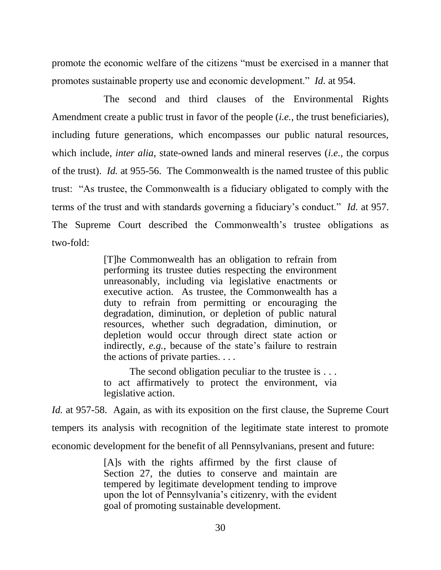promote the economic welfare of the citizens "must be exercised in a manner that promotes sustainable property use and economic development." *Id.* at 954.

The second and third clauses of the Environmental Rights Amendment create a public trust in favor of the people (*i.e.*, the trust beneficiaries), including future generations, which encompasses our public natural resources, which include, *inter alia*, state-owned lands and mineral reserves (*i.e.*, the corpus of the trust). *Id.* at 955-56. The Commonwealth is the named trustee of this public trust: "As trustee, the Commonwealth is a fiduciary obligated to comply with the terms of the trust and with standards governing a fiduciary's conduct." *Id.* at 957. The Supreme Court described the Commonwealth's trustee obligations as two-fold:

> [T]he Commonwealth has an obligation to refrain from performing its trustee duties respecting the environment unreasonably, including via legislative enactments or executive action. As trustee, the Commonwealth has a duty to refrain from permitting or encouraging the degradation, diminution, or depletion of public natural resources, whether such degradation, diminution, or depletion would occur through direct state action or indirectly, *e.g.*, because of the state's failure to restrain the actions of private parties. . . .

> The second obligation peculiar to the trustee is ... to act affirmatively to protect the environment, via legislative action.

*Id.* at 957-58. Again, as with its exposition on the first clause, the Supreme Court tempers its analysis with recognition of the legitimate state interest to promote economic development for the benefit of all Pennsylvanians, present and future:

> [A]s with the rights affirmed by the first clause of Section 27, the duties to conserve and maintain are tempered by legitimate development tending to improve upon the lot of Pennsylvania's citizenry, with the evident goal of promoting sustainable development.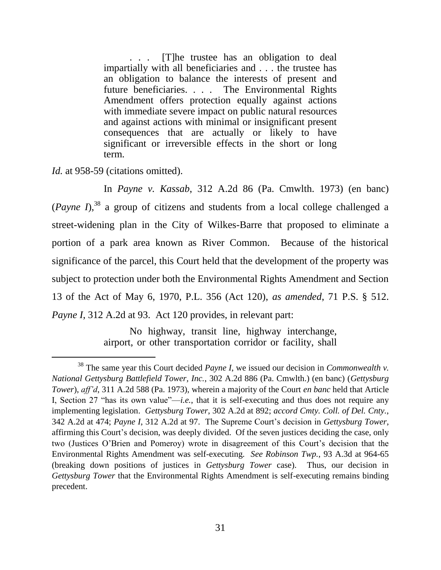The trustee has an obligation to deal impartially with all beneficiaries and . . . the trustee has an obligation to balance the interests of present and future beneficiaries. . . . The Environmental Rights Amendment offers protection equally against actions with immediate severe impact on public natural resources and against actions with minimal or insignificant present consequences that are actually or likely to have significant or irreversible effects in the short or long term.

*Id.* at 958-59 (citations omitted).

 $\overline{a}$ 

In *Payne v. Kassab*, 312 A.2d 86 (Pa. Cmwlth. 1973) (en banc)  $(Pa$ *yne*  $I$ <sup>38</sup> a group of citizens and students from a local college challenged a street-widening plan in the City of Wilkes-Barre that proposed to eliminate a portion of a park area known as River Common. Because of the historical significance of the parcel, this Court held that the development of the property was subject to protection under both the Environmental Rights Amendment and Section 13 of the Act of May 6, 1970, P.L. 356 (Act 120), *as amended*, 71 P.S. § 512. *Payne I*, 312 A.2d at 93. Act 120 provides, in relevant part:

> No highway, transit line, highway interchange, airport, or other transportation corridor or facility, shall

<sup>38</sup> The same year this Court decided *Payne I*, we issued our decision in *Commonwealth v. National Gettysburg Battlefield Tower, Inc.*, 302 A.2d 886 (Pa. Cmwlth.) (en banc) (*Gettysburg Tower*), *aff'd*, 311 A.2d 588 (Pa. 1973), wherein a majority of the Court *en banc* held that Article I, Section 27 "has its own value"—*i.e.*, that it is self-executing and thus does not require any implementing legislation. *Gettysburg Tower*, 302 A.2d at 892; *accord Cmty. Coll. of Del. Cnty.*, 342 A.2d at 474; *Payne I*, 312 A.2d at 97. The Supreme Court's decision in *Gettysburg Tower*, affirming this Court's decision, was deeply divided. Of the seven justices deciding the case, only two (Justices O'Brien and Pomeroy) wrote in disagreement of this Court's decision that the Environmental Rights Amendment was self-executing. *See Robinson Twp.*, 93 A.3d at 964-65 (breaking down positions of justices in *Gettysburg Tower* case). Thus, our decision in *Gettysburg Tower* that the Environmental Rights Amendment is self-executing remains binding precedent.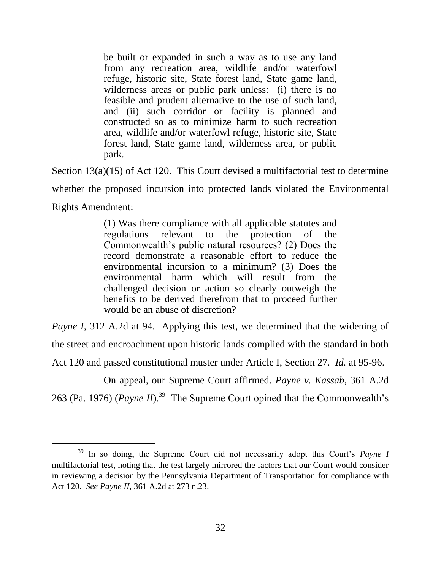be built or expanded in such a way as to use any land from any recreation area, wildlife and/or waterfowl refuge, historic site, State forest land, State game land, wilderness areas or public park unless: (i) there is no feasible and prudent alternative to the use of such land, and (ii) such corridor or facility is planned and constructed so as to minimize harm to such recreation area, wildlife and/or waterfowl refuge, historic site, State forest land, State game land, wilderness area, or public park.

Section 13(a)(15) of Act 120. This Court devised a multifactorial test to determine

whether the proposed incursion into protected lands violated the Environmental

Rights Amendment:

 $\overline{a}$ 

(1) Was there compliance with all applicable statutes and regulations relevant to the protection of the Commonwealth's public natural resources? (2) Does the record demonstrate a reasonable effort to reduce the environmental incursion to a minimum? (3) Does the environmental harm which will result from the challenged decision or action so clearly outweigh the benefits to be derived therefrom that to proceed further would be an abuse of discretion?

*Payne I*, 312 A.2d at 94. Applying this test, we determined that the widening of the street and encroachment upon historic lands complied with the standard in both

Act 120 and passed constitutional muster under Article I, Section 27. *Id.* at 95-96.

On appeal, our Supreme Court affirmed. *Payne v. Kassab*, 361 A.2d 263 (Pa. 1976) (*Payne II*).<sup>39</sup> The Supreme Court opined that the Commonwealth's

<sup>39</sup> In so doing, the Supreme Court did not necessarily adopt this Court's *Payne I* multifactorial test, noting that the test largely mirrored the factors that our Court would consider in reviewing a decision by the Pennsylvania Department of Transportation for compliance with Act 120. *See Payne II*, 361 A.2d at 273 n.23.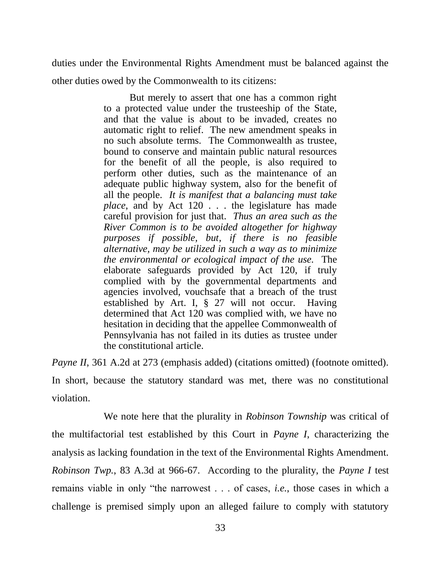duties under the Environmental Rights Amendment must be balanced against the

other duties owed by the Commonwealth to its citizens:

But merely to assert that one has a common right to a protected value under the trusteeship of the State, and that the value is about to be invaded, creates no automatic right to relief. The new amendment speaks in no such absolute terms. The Commonwealth as trustee, bound to conserve and maintain public natural resources for the benefit of all the people, is also required to perform other duties, such as the maintenance of an adequate public highway system, also for the benefit of all the people. *It is manifest that a balancing must take place*, and by Act 120 . . . the legislature has made careful provision for just that. *Thus an area such as the River Common is to be avoided altogether for highway purposes if possible, but, if there is no feasible alternative, may be utilized in such a way as to minimize the environmental or ecological impact of the use.* The elaborate safeguards provided by Act 120, if truly complied with by the governmental departments and agencies involved, vouchsafe that a breach of the trust established by Art. I, § 27 will not occur. Having determined that Act 120 was complied with, we have no hesitation in deciding that the appellee Commonwealth of Pennsylvania has not failed in its duties as trustee under the constitutional article.

*Payne II*, 361 A.2d at 273 (emphasis added) (citations omitted) (footnote omitted).

In short, because the statutory standard was met, there was no constitutional violation.

We note here that the plurality in *Robinson Township* was critical of the multifactorial test established by this Court in *Payne I*, characterizing the analysis as lacking foundation in the text of the Environmental Rights Amendment. *Robinson Twp.*, 83 A.3d at 966-67. According to the plurality, the *Payne I* test remains viable in only "the narrowest . . . of cases, *i.e.*, those cases in which a challenge is premised simply upon an alleged failure to comply with statutory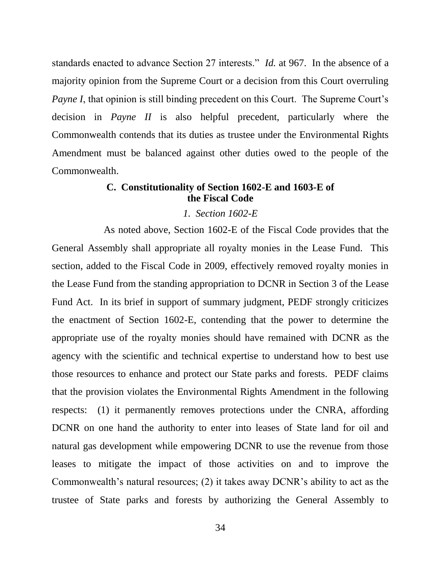standards enacted to advance Section 27 interests." *Id.* at 967. In the absence of a majority opinion from the Supreme Court or a decision from this Court overruling *Payne I*, that opinion is still binding precedent on this Court. The Supreme Court's decision in *Payne II* is also helpful precedent, particularly where the Commonwealth contends that its duties as trustee under the Environmental Rights Amendment must be balanced against other duties owed to the people of the Commonwealth.

### **C. Constitutionality of Section 1602-E and 1603-E of the Fiscal Code**

#### *1. Section 1602-E*

As noted above, Section 1602-E of the Fiscal Code provides that the General Assembly shall appropriate all royalty monies in the Lease Fund. This section, added to the Fiscal Code in 2009, effectively removed royalty monies in the Lease Fund from the standing appropriation to DCNR in Section 3 of the Lease Fund Act. In its brief in support of summary judgment, PEDF strongly criticizes the enactment of Section 1602-E, contending that the power to determine the appropriate use of the royalty monies should have remained with DCNR as the agency with the scientific and technical expertise to understand how to best use those resources to enhance and protect our State parks and forests. PEDF claims that the provision violates the Environmental Rights Amendment in the following respects: (1) it permanently removes protections under the CNRA, affording DCNR on one hand the authority to enter into leases of State land for oil and natural gas development while empowering DCNR to use the revenue from those leases to mitigate the impact of those activities on and to improve the Commonwealth's natural resources; (2) it takes away DCNR's ability to act as the trustee of State parks and forests by authorizing the General Assembly to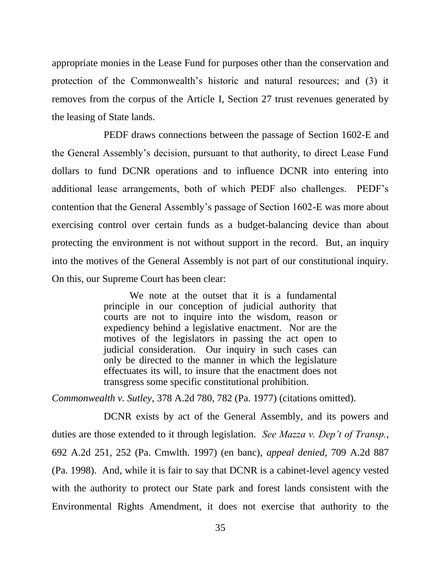appropriate monies in the Lease Fund for purposes other than the conservation and protection of the Commonwealth's historic and natural resources; and (3) it removes from the corpus of the Article I, Section 27 trust revenues generated by the leasing of State lands.

PEDF draws connections between the passage of Section 1602-E and the General Assembly's decision, pursuant to that authority, to direct Lease Fund dollars to fund DCNR operations and to influence DCNR into entering into additional lease arrangements, both of which PEDF also challenges. PEDF's contention that the General Assembly's passage of Section 1602-E was more about exercising control over certain funds as a budget-balancing device than about protecting the environment is not without support in the record. But, an inquiry into the motives of the General Assembly is not part of our constitutional inquiry. On this, our Supreme Court has been clear:

> We note at the outset that it is a fundamental principle in our conception of judicial authority that courts are not to inquire into the wisdom, reason or expediency behind a legislative enactment. Nor are the motives of the legislators in passing the act open to judicial consideration. Our inquiry in such cases can only be directed to the manner in which the legislature effectuates its will, to insure that the enactment does not transgress some specific constitutional prohibition.

*Commonwealth v. Sutley*, 378 A.2d 780, 782 (Pa. 1977) (citations omitted).

DCNR exists by act of the General Assembly, and its powers and duties are those extended to it through legislation. *See Mazza v. Dep't of Transp.*, 692 A.2d 251, 252 (Pa. Cmwlth. 1997) (en banc), *appeal denied*, 709 A.2d 887 (Pa. 1998). And, while it is fair to say that DCNR is a cabinet-level agency vested with the authority to protect our State park and forest lands consistent with the Environmental Rights Amendment, it does not exercise that authority to the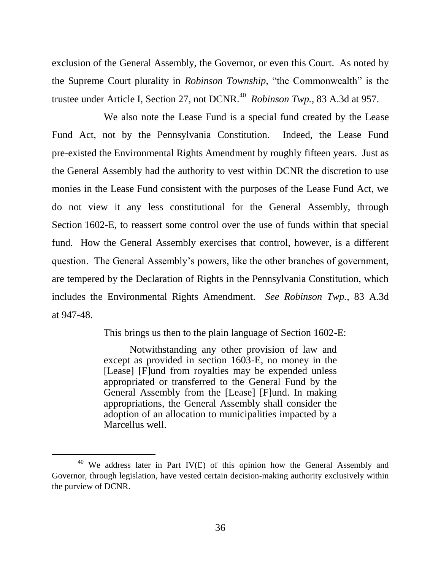exclusion of the General Assembly, the Governor, or even this Court. As noted by the Supreme Court plurality in *Robinson Township*, "the Commonwealth" is the trustee under Article I, Section 27, not DCNR.<sup>40</sup> Robinson Twp., 83 A.3d at 957.

We also note the Lease Fund is a special fund created by the Lease Fund Act, not by the Pennsylvania Constitution. Indeed, the Lease Fund pre-existed the Environmental Rights Amendment by roughly fifteen years. Just as the General Assembly had the authority to vest within DCNR the discretion to use monies in the Lease Fund consistent with the purposes of the Lease Fund Act, we do not view it any less constitutional for the General Assembly, through Section 1602-E, to reassert some control over the use of funds within that special fund. How the General Assembly exercises that control, however, is a different question. The General Assembly's powers, like the other branches of government, are tempered by the Declaration of Rights in the Pennsylvania Constitution, which includes the Environmental Rights Amendment. *See Robinson Twp.*, 83 A.3d at 947-48.

This brings us then to the plain language of Section 1602-E:

Notwithstanding any other provision of law and except as provided in section 1603-E, no money in the [Lease] [F]und from royalties may be expended unless appropriated or transferred to the General Fund by the General Assembly from the [Lease] [F]und. In making appropriations, the General Assembly shall consider the adoption of an allocation to municipalities impacted by a Marcellus well.

<sup>&</sup>lt;sup>40</sup> We address later in Part IV(E) of this opinion how the General Assembly and Governor, through legislation, have vested certain decision-making authority exclusively within the purview of DCNR.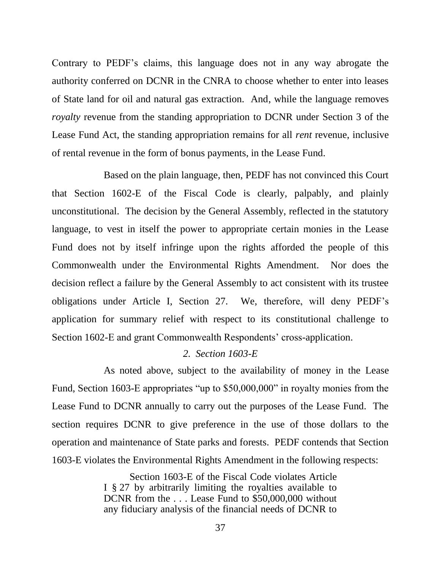Contrary to PEDF's claims, this language does not in any way abrogate the authority conferred on DCNR in the CNRA to choose whether to enter into leases of State land for oil and natural gas extraction. And, while the language removes *royalty* revenue from the standing appropriation to DCNR under Section 3 of the Lease Fund Act, the standing appropriation remains for all *rent* revenue, inclusive of rental revenue in the form of bonus payments, in the Lease Fund.

Based on the plain language, then, PEDF has not convinced this Court that Section 1602-E of the Fiscal Code is clearly, palpably, and plainly unconstitutional. The decision by the General Assembly, reflected in the statutory language, to vest in itself the power to appropriate certain monies in the Lease Fund does not by itself infringe upon the rights afforded the people of this Commonwealth under the Environmental Rights Amendment. Nor does the decision reflect a failure by the General Assembly to act consistent with its trustee obligations under Article I, Section 27. We, therefore, will deny PEDF's application for summary relief with respect to its constitutional challenge to Section 1602-E and grant Commonwealth Respondents' cross-application.

### *2. Section 1603-E*

As noted above, subject to the availability of money in the Lease Fund, Section 1603-E appropriates "up to \$50,000,000" in royalty monies from the Lease Fund to DCNR annually to carry out the purposes of the Lease Fund. The section requires DCNR to give preference in the use of those dollars to the operation and maintenance of State parks and forests. PEDF contends that Section 1603-E violates the Environmental Rights Amendment in the following respects:

> Section 1603-E of the Fiscal Code violates Article I § 27 by arbitrarily limiting the royalties available to DCNR from the . . . Lease Fund to \$50,000,000 without any fiduciary analysis of the financial needs of DCNR to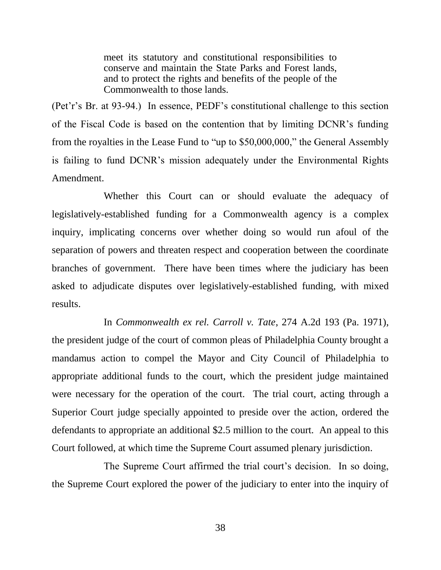meet its statutory and constitutional responsibilities to conserve and maintain the State Parks and Forest lands, and to protect the rights and benefits of the people of the Commonwealth to those lands.

(Pet'r's Br. at 93-94.) In essence, PEDF's constitutional challenge to this section of the Fiscal Code is based on the contention that by limiting DCNR's funding from the royalties in the Lease Fund to "up to \$50,000,000," the General Assembly is failing to fund DCNR's mission adequately under the Environmental Rights Amendment.

Whether this Court can or should evaluate the adequacy of legislatively-established funding for a Commonwealth agency is a complex inquiry, implicating concerns over whether doing so would run afoul of the separation of powers and threaten respect and cooperation between the coordinate branches of government. There have been times where the judiciary has been asked to adjudicate disputes over legislatively-established funding, with mixed results.

In *Commonwealth ex rel. Carroll v. Tate*, 274 A.2d 193 (Pa. 1971), the president judge of the court of common pleas of Philadelphia County brought a mandamus action to compel the Mayor and City Council of Philadelphia to appropriate additional funds to the court, which the president judge maintained were necessary for the operation of the court. The trial court, acting through a Superior Court judge specially appointed to preside over the action, ordered the defendants to appropriate an additional \$2.5 million to the court. An appeal to this Court followed, at which time the Supreme Court assumed plenary jurisdiction.

The Supreme Court affirmed the trial court's decision. In so doing, the Supreme Court explored the power of the judiciary to enter into the inquiry of

38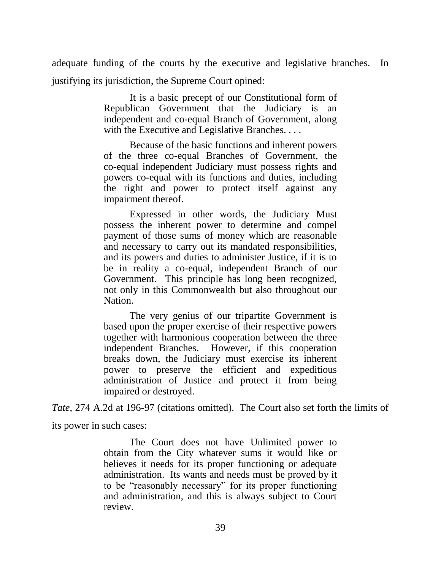adequate funding of the courts by the executive and legislative branches. In justifying its jurisdiction, the Supreme Court opined:

> It is a basic precept of our Constitutional form of Republican Government that the Judiciary is an independent and co-equal Branch of Government, along with the Executive and Legislative Branches....

> Because of the basic functions and inherent powers of the three co-equal Branches of Government, the co-equal independent Judiciary must possess rights and powers co-equal with its functions and duties, including the right and power to protect itself against any impairment thereof.

> Expressed in other words, the Judiciary Must possess the inherent power to determine and compel payment of those sums of money which are reasonable and necessary to carry out its mandated responsibilities, and its powers and duties to administer Justice, if it is to be in reality a co-equal, independent Branch of our Government. This principle has long been recognized, not only in this Commonwealth but also throughout our Nation.

> The very genius of our tripartite Government is based upon the proper exercise of their respective powers together with harmonious cooperation between the three independent Branches. However, if this cooperation breaks down, the Judiciary must exercise its inherent power to preserve the efficient and expeditious administration of Justice and protect it from being impaired or destroyed.

*Tate*, 274 A.2d at 196-97 (citations omitted). The Court also set forth the limits of

its power in such cases:

The Court does not have Unlimited power to obtain from the City whatever sums it would like or believes it needs for its proper functioning or adequate administration. Its wants and needs must be proved by it to be "reasonably necessary" for its proper functioning and administration, and this is always subject to Court review.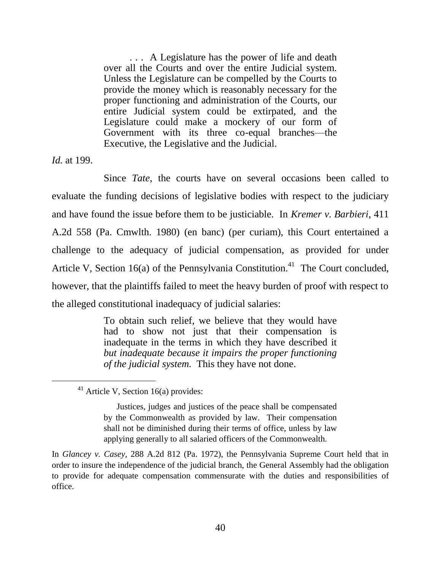... A Legislature has the power of life and death over all the Courts and over the entire Judicial system. Unless the Legislature can be compelled by the Courts to provide the money which is reasonably necessary for the proper functioning and administration of the Courts, our entire Judicial system could be extirpated, and the Legislature could make a mockery of our form of Government with its three co-equal branches—the Executive, the Legislative and the Judicial.

*Id.* at 199.

 $\overline{a}$ 

Since *Tate*, the courts have on several occasions been called to evaluate the funding decisions of legislative bodies with respect to the judiciary and have found the issue before them to be justiciable. In *Kremer v. Barbieri*, 411 A.2d 558 (Pa. Cmwlth. 1980) (en banc) (per curiam), this Court entertained a challenge to the adequacy of judicial compensation, as provided for under Article V, Section 16(a) of the Pennsylvania Constitution.<sup>41</sup> The Court concluded, however, that the plaintiffs failed to meet the heavy burden of proof with respect to the alleged constitutional inadequacy of judicial salaries:

> To obtain such relief, we believe that they would have had to show not just that their compensation is inadequate in the terms in which they have described it *but inadequate because it impairs the proper functioning of the judicial system.* This they have not done.

Justices, judges and justices of the peace shall be compensated by the Commonwealth as provided by law. Their compensation shall not be diminished during their terms of office, unless by law applying generally to all salaried officers of the Commonwealth.

In *Glancey v. Casey*, 288 A.2d 812 (Pa. 1972), the Pennsylvania Supreme Court held that in order to insure the independence of the judicial branch, the General Assembly had the obligation to provide for adequate compensation commensurate with the duties and responsibilities of office.

 $41$  Article V, Section 16(a) provides: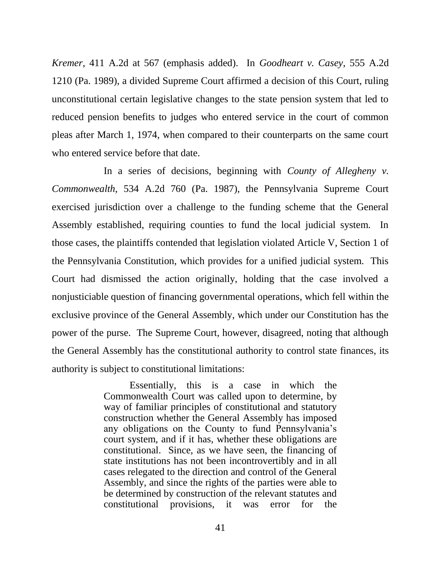*Kremer*, 411 A.2d at 567 (emphasis added). In *Goodheart v. Casey*, 555 A.2d 1210 (Pa. 1989), a divided Supreme Court affirmed a decision of this Court, ruling unconstitutional certain legislative changes to the state pension system that led to reduced pension benefits to judges who entered service in the court of common pleas after March 1, 1974, when compared to their counterparts on the same court who entered service before that date.

In a series of decisions, beginning with *County of Allegheny v. Commonwealth*, 534 A.2d 760 (Pa. 1987), the Pennsylvania Supreme Court exercised jurisdiction over a challenge to the funding scheme that the General Assembly established, requiring counties to fund the local judicial system. In those cases, the plaintiffs contended that legislation violated Article V, Section 1 of the Pennsylvania Constitution, which provides for a unified judicial system. This Court had dismissed the action originally, holding that the case involved a nonjusticiable question of financing governmental operations, which fell within the exclusive province of the General Assembly, which under our Constitution has the power of the purse. The Supreme Court, however, disagreed, noting that although the General Assembly has the constitutional authority to control state finances, its authority is subject to constitutional limitations:

> Essentially, this is a case in which the Commonwealth Court was called upon to determine, by way of familiar principles of constitutional and statutory construction whether the General Assembly has imposed any obligations on the County to fund Pennsylvania's court system, and if it has, whether these obligations are constitutional. Since, as we have seen, the financing of state institutions has not been incontrovertibly and in all cases relegated to the direction and control of the General Assembly, and since the rights of the parties were able to be determined by construction of the relevant statutes and constitutional provisions, it was error for the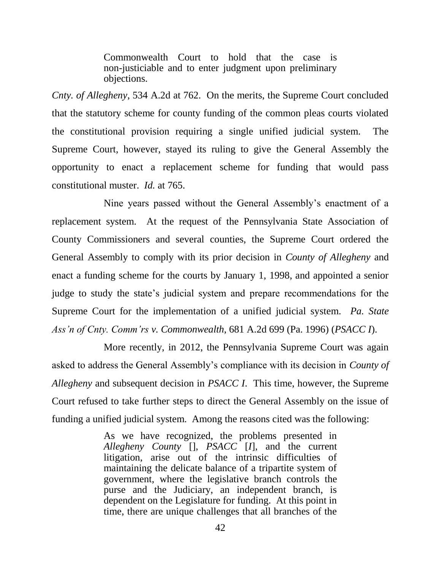Commonwealth Court to hold that the case is non-justiciable and to enter judgment upon preliminary objections.

*Cnty. of Allegheny*, 534 A.2d at 762. On the merits, the Supreme Court concluded that the statutory scheme for county funding of the common pleas courts violated the constitutional provision requiring a single unified judicial system. The Supreme Court, however, stayed its ruling to give the General Assembly the opportunity to enact a replacement scheme for funding that would pass constitutional muster. *Id.* at 765.

Nine years passed without the General Assembly's enactment of a replacement system. At the request of the Pennsylvania State Association of County Commissioners and several counties, the Supreme Court ordered the General Assembly to comply with its prior decision in *County of Allegheny* and enact a funding scheme for the courts by January 1, 1998, and appointed a senior judge to study the state's judicial system and prepare recommendations for the Supreme Court for the implementation of a unified judicial system. *Pa. State Ass'n of Cnty. Comm'rs v. Commonwealth*, 681 A.2d 699 (Pa. 1996) (*PSACC I*).

More recently, in 2012, the Pennsylvania Supreme Court was again asked to address the General Assembly's compliance with its decision in *County of Allegheny* and subsequent decision in *PSACC I*. This time, however, the Supreme Court refused to take further steps to direct the General Assembly on the issue of funding a unified judicial system. Among the reasons cited was the following:

> As we have recognized, the problems presented in *Allegheny County* [], *PSACC* [*I*], and the current litigation, arise out of the intrinsic difficulties of maintaining the delicate balance of a tripartite system of government, where the legislative branch controls the purse and the Judiciary, an independent branch, is dependent on the Legislature for funding. At this point in time, there are unique challenges that all branches of the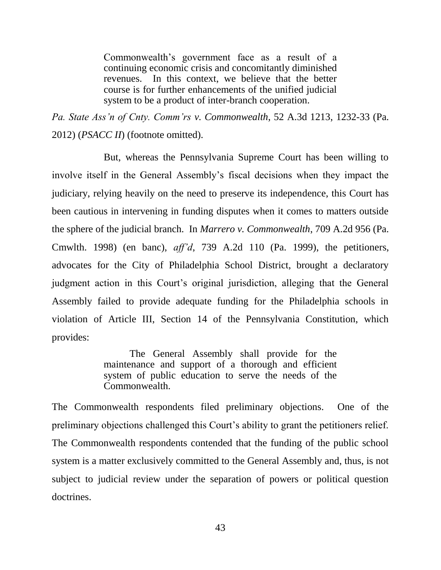Commonwealth's government face as a result of a continuing economic crisis and concomitantly diminished revenues. In this context, we believe that the better course is for further enhancements of the unified judicial system to be a product of inter-branch cooperation.

*Pa. State Ass'n of Cnty. Comm'rs v. Commonwealth*, 52 A.3d 1213, 1232-33 (Pa. 2012) (*PSACC II*) (footnote omitted).

But, whereas the Pennsylvania Supreme Court has been willing to involve itself in the General Assembly's fiscal decisions when they impact the judiciary, relying heavily on the need to preserve its independence, this Court has been cautious in intervening in funding disputes when it comes to matters outside the sphere of the judicial branch. In *Marrero v. Commonwealth*, 709 A.2d 956 (Pa. Cmwlth. 1998) (en banc), *aff'd*, 739 A.2d 110 (Pa. 1999), the petitioners, advocates for the City of Philadelphia School District, brought a declaratory judgment action in this Court's original jurisdiction, alleging that the General Assembly failed to provide adequate funding for the Philadelphia schools in violation of Article III, Section 14 of the Pennsylvania Constitution, which provides:

> The General Assembly shall provide for the maintenance and support of a thorough and efficient system of public education to serve the needs of the Commonwealth.

The Commonwealth respondents filed preliminary objections. One of the preliminary objections challenged this Court's ability to grant the petitioners relief. The Commonwealth respondents contended that the funding of the public school system is a matter exclusively committed to the General Assembly and, thus, is not subject to judicial review under the separation of powers or political question doctrines.

43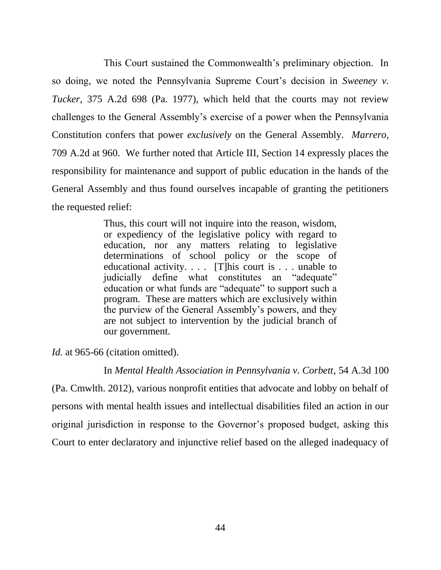This Court sustained the Commonwealth's preliminary objection. In so doing, we noted the Pennsylvania Supreme Court's decision in *Sweeney v. Tucker*, 375 A.2d 698 (Pa. 1977), which held that the courts may not review challenges to the General Assembly's exercise of a power when the Pennsylvania Constitution confers that power *exclusively* on the General Assembly. *Marrero*, 709 A.2d at 960. We further noted that Article III, Section 14 expressly places the responsibility for maintenance and support of public education in the hands of the General Assembly and thus found ourselves incapable of granting the petitioners the requested relief:

> Thus, this court will not inquire into the reason, wisdom, or expediency of the legislative policy with regard to education, nor any matters relating to legislative determinations of school policy or the scope of educational activity. . . . [T]his court is . . . unable to judicially define what constitutes an "adequate" education or what funds are "adequate" to support such a program. These are matters which are exclusively within the purview of the General Assembly's powers, and they are not subject to intervention by the judicial branch of our government.

*Id.* at 965-66 (citation omitted).

In *Mental Health Association in Pennsylvania v. Corbett*, 54 A.3d 100 (Pa. Cmwlth. 2012), various nonprofit entities that advocate and lobby on behalf of persons with mental health issues and intellectual disabilities filed an action in our original jurisdiction in response to the Governor's proposed budget, asking this Court to enter declaratory and injunctive relief based on the alleged inadequacy of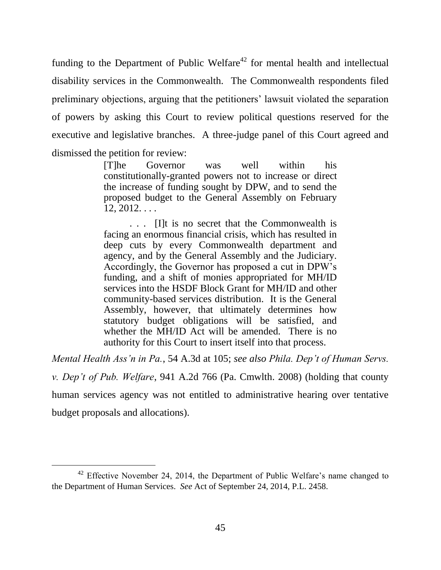funding to the Department of Public Welfare<sup>42</sup> for mental health and intellectual disability services in the Commonwealth. The Commonwealth respondents filed preliminary objections, arguing that the petitioners' lawsuit violated the separation of powers by asking this Court to review political questions reserved for the executive and legislative branches. A three-judge panel of this Court agreed and dismissed the petition for review:

> [T]he Governor was well within his constitutionally-granted powers not to increase or direct the increase of funding sought by DPW, and to send the proposed budget to the General Assembly on February  $12, 2012, \ldots$

> . . . [I]t is no secret that the Commonwealth is facing an enormous financial crisis, which has resulted in deep cuts by every Commonwealth department and agency, and by the General Assembly and the Judiciary. Accordingly, the Governor has proposed a cut in DPW's funding, and a shift of monies appropriated for MH/ID services into the HSDF Block Grant for MH/ID and other community-based services distribution. It is the General Assembly, however, that ultimately determines how statutory budget obligations will be satisfied, and whether the MH/ID Act will be amended. There is no authority for this Court to insert itself into that process.

*Mental Health Ass'n in Pa.*, 54 A.3d at 105; *see also Phila. Dep't of Human Servs.* 

*v. Dep't of Pub. Welfare*, 941 A.2d 766 (Pa. Cmwlth. 2008) (holding that county

human services agency was not entitled to administrative hearing over tentative budget proposals and allocations).

<sup>&</sup>lt;sup>42</sup> Effective November 24, 2014, the Department of Public Welfare's name changed to the Department of Human Services. *See* Act of September 24, 2014, P.L. 2458.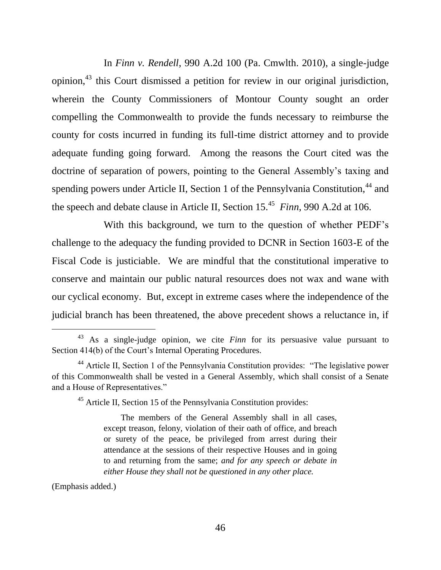In *Finn v. Rendell*, 990 A.2d 100 (Pa. Cmwlth. 2010), a single-judge opinion,<sup>43</sup> this Court dismissed a petition for review in our original jurisdiction, wherein the County Commissioners of Montour County sought an order compelling the Commonwealth to provide the funds necessary to reimburse the county for costs incurred in funding its full-time district attorney and to provide adequate funding going forward. Among the reasons the Court cited was the doctrine of separation of powers, pointing to the General Assembly's taxing and spending powers under Article II, Section 1 of the Pennsylvania Constitution,<sup>44</sup> and the speech and debate clause in Article II, Section 15.<sup>45</sup> *Finn*, 990 A.2d at 106.

With this background, we turn to the question of whether PEDF's challenge to the adequacy the funding provided to DCNR in Section 1603-E of the Fiscal Code is justiciable. We are mindful that the constitutional imperative to conserve and maintain our public natural resources does not wax and wane with our cyclical economy. But, except in extreme cases where the independence of the judicial branch has been threatened, the above precedent shows a reluctance in, if

<sup>45</sup> Article II, Section 15 of the Pennsylvania Constitution provides:

The members of the General Assembly shall in all cases, except treason, felony, violation of their oath of office, and breach or surety of the peace, be privileged from arrest during their attendance at the sessions of their respective Houses and in going to and returning from the same; *and for any speech or debate in either House they shall not be questioned in any other place.*

(Emphasis added.)

<sup>43</sup> As a single-judge opinion, we cite *Finn* for its persuasive value pursuant to Section 414(b) of the Court's Internal Operating Procedures.

<sup>&</sup>lt;sup>44</sup> Article II, Section 1 of the Pennsylvania Constitution provides: "The legislative power of this Commonwealth shall be vested in a General Assembly, which shall consist of a Senate and a House of Representatives."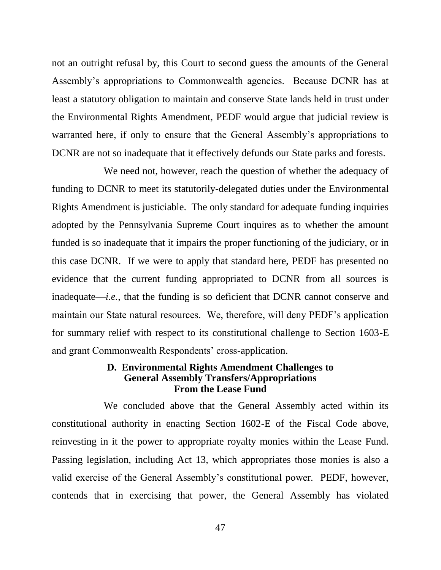not an outright refusal by, this Court to second guess the amounts of the General Assembly's appropriations to Commonwealth agencies. Because DCNR has at least a statutory obligation to maintain and conserve State lands held in trust under the Environmental Rights Amendment, PEDF would argue that judicial review is warranted here, if only to ensure that the General Assembly's appropriations to DCNR are not so inadequate that it effectively defunds our State parks and forests.

We need not, however, reach the question of whether the adequacy of funding to DCNR to meet its statutorily-delegated duties under the Environmental Rights Amendment is justiciable. The only standard for adequate funding inquiries adopted by the Pennsylvania Supreme Court inquires as to whether the amount funded is so inadequate that it impairs the proper functioning of the judiciary, or in this case DCNR. If we were to apply that standard here, PEDF has presented no evidence that the current funding appropriated to DCNR from all sources is inadequate—*i.e.*, that the funding is so deficient that DCNR cannot conserve and maintain our State natural resources. We, therefore, will deny PEDF's application for summary relief with respect to its constitutional challenge to Section 1603-E and grant Commonwealth Respondents' cross-application.

### **D. Environmental Rights Amendment Challenges to General Assembly Transfers/Appropriations From the Lease Fund**

We concluded above that the General Assembly acted within its constitutional authority in enacting Section 1602-E of the Fiscal Code above, reinvesting in it the power to appropriate royalty monies within the Lease Fund. Passing legislation, including Act 13, which appropriates those monies is also a valid exercise of the General Assembly's constitutional power. PEDF, however, contends that in exercising that power, the General Assembly has violated

47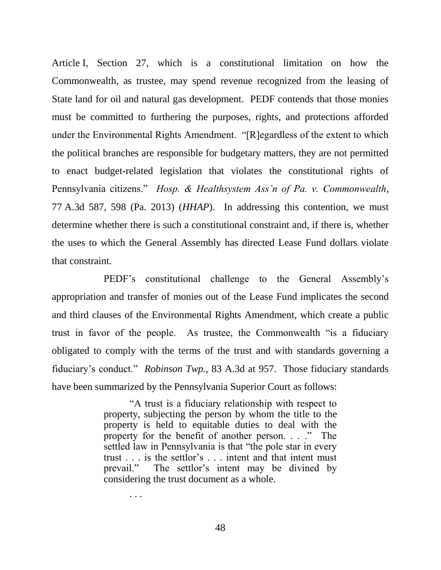Article I, Section 27, which is a constitutional limitation on how the Commonwealth, as trustee, may spend revenue recognized from the leasing of State land for oil and natural gas development. PEDF contends that those monies must be committed to furthering the purposes, rights, and protections afforded under the Environmental Rights Amendment. "[R]egardless of the extent to which the political branches are responsible for budgetary matters, they are not permitted to enact budget-related legislation that violates the constitutional rights of Pennsylvania citizens." *Hosp. & Healthsystem Ass'n of Pa. v. Commonwealth*, 77 A.3d 587, 598 (Pa. 2013) (*HHAP*). In addressing this contention, we must determine whether there is such a constitutional constraint and, if there is, whether the uses to which the General Assembly has directed Lease Fund dollars violate that constraint.

PEDF's constitutional challenge to the General Assembly's appropriation and transfer of monies out of the Lease Fund implicates the second and third clauses of the Environmental Rights Amendment, which create a public trust in favor of the people. As trustee, the Commonwealth "is a fiduciary obligated to comply with the terms of the trust and with standards governing a fiduciary's conduct." *Robinson Twp.*, 83 A.3d at 957. Those fiduciary standards have been summarized by the Pennsylvania Superior Court as follows:

> "A trust is a fiduciary relationship with respect to property, subjecting the person by whom the title to the property is held to equitable duties to deal with the property for the benefit of another person. . . ." The settled law in Pennsylvania is that "the pole star in every trust . . . is the settlor's . . . intent and that intent must prevail." The settlor's intent may be divined by considering the trust document as a whole.

> > . . .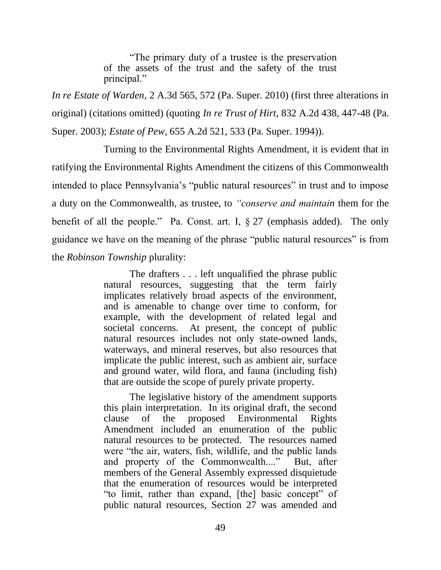"The primary duty of a trustee is the preservation of the assets of the trust and the safety of the trust principal."

*In re Estate of Warden*, 2 A.3d 565, 572 (Pa. Super. 2010) (first three alterations in original) (citations omitted) (quoting *In re Trust of Hirt*, 832 A.2d 438, 447-48 (Pa. Super. 2003); *Estate of Pew*, 655 A.2d 521, 533 (Pa. Super. 1994)).

Turning to the Environmental Rights Amendment, it is evident that in ratifying the Environmental Rights Amendment the citizens of this Commonwealth intended to place Pennsylvania's "public natural resources" in trust and to impose a duty on the Commonwealth, as trustee, to *"conserve and maintain* them for the benefit of all the people." Pa. Const. art. I, § 27 (emphasis added). The only guidance we have on the meaning of the phrase "public natural resources" is from the *Robinson Township* plurality:

> The drafters . . . left unqualified the phrase public natural resources, suggesting that the term fairly implicates relatively broad aspects of the environment, and is amenable to change over time to conform, for example, with the development of related legal and societal concerns. At present, the concept of public natural resources includes not only state-owned lands, waterways, and mineral reserves, but also resources that implicate the public interest, such as ambient air, surface and ground water, wild flora, and fauna (including fish) that are outside the scope of purely private property.

> The legislative history of the amendment supports this plain interpretation. In its original draft, the second clause of the proposed Environmental Rights Amendment included an enumeration of the public natural resources to be protected. The resources named were "the air, waters, fish, wildlife, and the public lands and property of the Commonwealth...." But, after members of the General Assembly expressed disquietude that the enumeration of resources would be interpreted "to limit, rather than expand, [the] basic concept" of public natural resources, Section 27 was amended and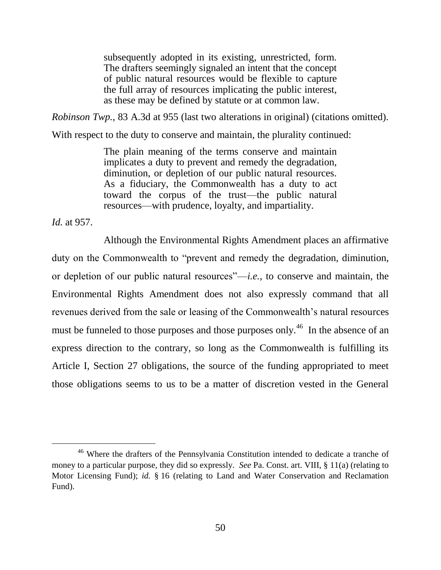subsequently adopted in its existing, unrestricted, form. The drafters seemingly signaled an intent that the concept of public natural resources would be flexible to capture the full array of resources implicating the public interest, as these may be defined by statute or at common law.

*Robinson Twp.*, 83 A.3d at 955 (last two alterations in original) (citations omitted).

With respect to the duty to conserve and maintain, the plurality continued:

The plain meaning of the terms conserve and maintain implicates a duty to prevent and remedy the degradation, diminution, or depletion of our public natural resources. As a fiduciary, the Commonwealth has a duty to act toward the corpus of the trust—the public natural resources—with prudence, loyalty, and impartiality.

*Id.* at 957.

 $\overline{a}$ 

Although the Environmental Rights Amendment places an affirmative duty on the Commonwealth to "prevent and remedy the degradation, diminution, or depletion of our public natural resources"—*i.e.*, to conserve and maintain, the Environmental Rights Amendment does not also expressly command that all revenues derived from the sale or leasing of the Commonwealth's natural resources must be funneled to those purposes and those purposes only.<sup>46</sup> In the absence of an express direction to the contrary, so long as the Commonwealth is fulfilling its Article I, Section 27 obligations, the source of the funding appropriated to meet those obligations seems to us to be a matter of discretion vested in the General

<sup>&</sup>lt;sup>46</sup> Where the drafters of the Pennsylvania Constitution intended to dedicate a tranche of money to a particular purpose, they did so expressly. *See* Pa. Const. art. VIII, § 11(a) (relating to Motor Licensing Fund); *id.* § 16 (relating to Land and Water Conservation and Reclamation Fund).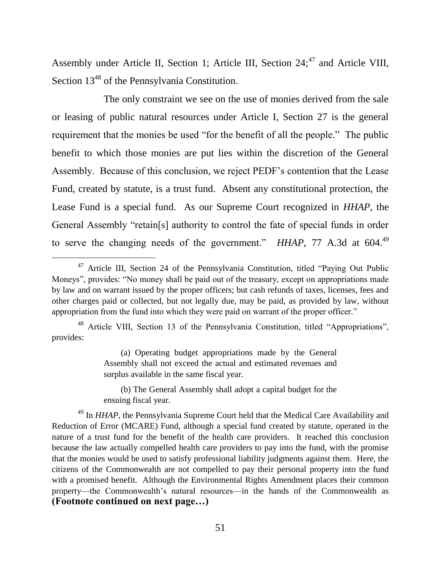Assembly under Article II, Section 1; Article III, Section  $24$ ;<sup>47</sup> and Article VIII, Section  $13^{48}$  of the Pennsylvania Constitution.

The only constraint we see on the use of monies derived from the sale or leasing of public natural resources under Article I, Section 27 is the general requirement that the monies be used "for the benefit of all the people." The public benefit to which those monies are put lies within the discretion of the General Assembly. Because of this conclusion, we reject PEDF's contention that the Lease Fund, created by statute, is a trust fund. Absent any constitutional protection, the Lease Fund is a special fund. As our Supreme Court recognized in *HHAP*, the General Assembly "retain[s] authority to control the fate of special funds in order to serve the changing needs of the government." *HHAP*, 77 A.3d at 604.<sup>49</sup>

 $\overline{a}$ 

(a) Operating budget appropriations made by the General Assembly shall not exceed the actual and estimated revenues and surplus available in the same fiscal year.

(b) The General Assembly shall adopt a capital budget for the ensuing fiscal year.

<sup>49</sup> In *HHAP*, the Pennsylvania Supreme Court held that the Medical Care Availability and Reduction of Error (MCARE) Fund, although a special fund created by statute, operated in the nature of a trust fund for the benefit of the health care providers. It reached this conclusion because the law actually compelled health care providers to pay into the fund, with the promise that the monies would be used to satisfy professional liability judgments against them. Here, the citizens of the Commonwealth are not compelled to pay their personal property into the fund with a promised benefit. Although the Environmental Rights Amendment places their common property—the Commonwealth's natural resources—in the hands of the Commonwealth as **(Footnote continued on next page…)**

<sup>&</sup>lt;sup>47</sup> Article III, Section 24 of the Pennsylvania Constitution, titled "Paying Out Public Moneys", provides: "No money shall be paid out of the treasury, except on appropriations made by law and on warrant issued by the proper officers; but cash refunds of taxes, licenses, fees and other charges paid or collected, but not legally due, may be paid, as provided by law, without appropriation from the fund into which they were paid on warrant of the proper officer."

<sup>&</sup>lt;sup>48</sup> Article VIII, Section 13 of the Pennsylvania Constitution, titled "Appropriations", provides: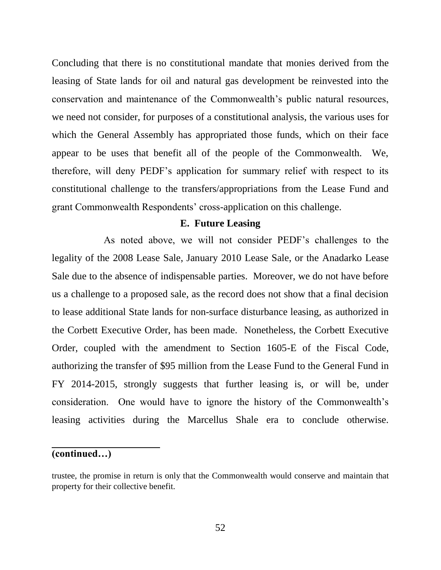Concluding that there is no constitutional mandate that monies derived from the leasing of State lands for oil and natural gas development be reinvested into the conservation and maintenance of the Commonwealth's public natural resources, we need not consider, for purposes of a constitutional analysis, the various uses for which the General Assembly has appropriated those funds, which on their face appear to be uses that benefit all of the people of the Commonwealth. We, therefore, will deny PEDF's application for summary relief with respect to its constitutional challenge to the transfers/appropriations from the Lease Fund and grant Commonwealth Respondents' cross-application on this challenge.

### **E. Future Leasing**

As noted above, we will not consider PEDF's challenges to the legality of the 2008 Lease Sale, January 2010 Lease Sale, or the Anadarko Lease Sale due to the absence of indispensable parties. Moreover, we do not have before us a challenge to a proposed sale, as the record does not show that a final decision to lease additional State lands for non-surface disturbance leasing, as authorized in the Corbett Executive Order, has been made. Nonetheless, the Corbett Executive Order, coupled with the amendment to Section 1605-E of the Fiscal Code, authorizing the transfer of \$95 million from the Lease Fund to the General Fund in FY 2014-2015, strongly suggests that further leasing is, or will be, under consideration. One would have to ignore the history of the Commonwealth's leasing activities during the Marcellus Shale era to conclude otherwise.

### **(continued…)**

l,

trustee, the promise in return is only that the Commonwealth would conserve and maintain that property for their collective benefit.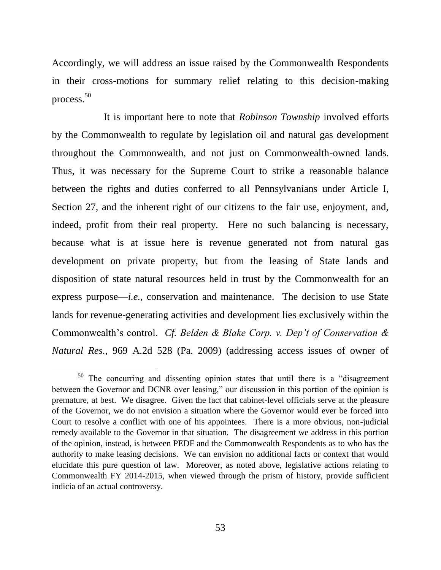Accordingly, we will address an issue raised by the Commonwealth Respondents in their cross-motions for summary relief relating to this decision-making process. 50

It is important here to note that *Robinson Township* involved efforts by the Commonwealth to regulate by legislation oil and natural gas development throughout the Commonwealth, and not just on Commonwealth-owned lands. Thus, it was necessary for the Supreme Court to strike a reasonable balance between the rights and duties conferred to all Pennsylvanians under Article I, Section 27, and the inherent right of our citizens to the fair use, enjoyment, and, indeed, profit from their real property. Here no such balancing is necessary, because what is at issue here is revenue generated not from natural gas development on private property, but from the leasing of State lands and disposition of state natural resources held in trust by the Commonwealth for an express purpose—*i.e.*, conservation and maintenance. The decision to use State lands for revenue-generating activities and development lies exclusively within the Commonwealth's control. *Cf. Belden & Blake Corp. v. Dep't of Conservation & Natural Res.*, 969 A.2d 528 (Pa. 2009) (addressing access issues of owner of

<sup>50</sup> The concurring and dissenting opinion states that until there is a "disagreement between the Governor and DCNR over leasing," our discussion in this portion of the opinion is premature, at best. We disagree. Given the fact that cabinet-level officials serve at the pleasure of the Governor, we do not envision a situation where the Governor would ever be forced into Court to resolve a conflict with one of his appointees. There is a more obvious, non-judicial remedy available to the Governor in that situation. The disagreement we address in this portion of the opinion, instead, is between PEDF and the Commonwealth Respondents as to who has the authority to make leasing decisions. We can envision no additional facts or context that would elucidate this pure question of law. Moreover, as noted above, legislative actions relating to Commonwealth FY 2014-2015, when viewed through the prism of history, provide sufficient indicia of an actual controversy.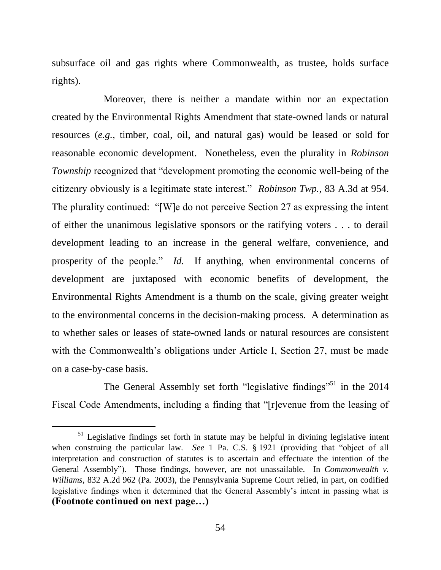subsurface oil and gas rights where Commonwealth, as trustee, holds surface rights).

Moreover, there is neither a mandate within nor an expectation created by the Environmental Rights Amendment that state-owned lands or natural resources (*e.g.*, timber, coal, oil, and natural gas) would be leased or sold for reasonable economic development. Nonetheless, even the plurality in *Robinson Township* recognized that "development promoting the economic well-being of the citizenry obviously is a legitimate state interest." *Robinson Twp.*, 83 A.3d at 954. The plurality continued: "[W]e do not perceive Section 27 as expressing the intent of either the unanimous legislative sponsors or the ratifying voters . . . to derail development leading to an increase in the general welfare, convenience, and prosperity of the people." *Id.* If anything, when environmental concerns of development are juxtaposed with economic benefits of development, the Environmental Rights Amendment is a thumb on the scale, giving greater weight to the environmental concerns in the decision-making process. A determination as to whether sales or leases of state-owned lands or natural resources are consistent with the Commonwealth's obligations under Article I, Section 27, must be made on a case-by-case basis.

The General Assembly set forth "legislative findings"<sup>51</sup> in the 2014 Fiscal Code Amendments, including a finding that "[r]evenue from the leasing of

<sup>&</sup>lt;sup>51</sup> Legislative findings set forth in statute may be helpful in divining legislative intent when construing the particular law. *See* 1 Pa. C.S. § 1921 (providing that "object of all interpretation and construction of statutes is to ascertain and effectuate the intention of the General Assembly"). Those findings, however, are not unassailable. In *Commonwealth v. Williams*, 832 A.2d 962 (Pa. 2003), the Pennsylvania Supreme Court relied, in part, on codified legislative findings when it determined that the General Assembly's intent in passing what is **(Footnote continued on next page…)**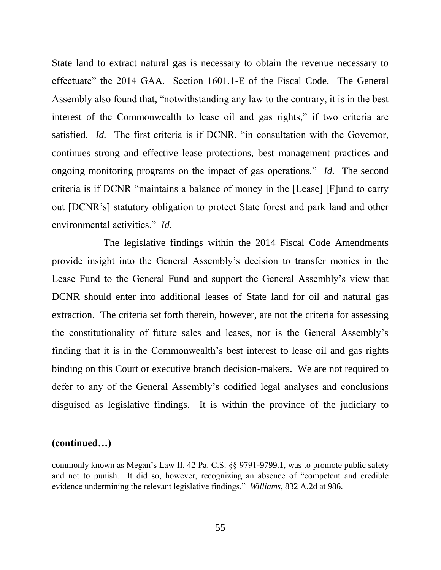State land to extract natural gas is necessary to obtain the revenue necessary to effectuate" the 2014 GAA. Section 1601.1-E of the Fiscal Code. The General Assembly also found that, "notwithstanding any law to the contrary, it is in the best interest of the Commonwealth to lease oil and gas rights," if two criteria are satisfied. *Id.* The first criteria is if DCNR, "in consultation with the Governor, continues strong and effective lease protections, best management practices and ongoing monitoring programs on the impact of gas operations." *Id.* The second criteria is if DCNR "maintains a balance of money in the [Lease] [F]und to carry out [DCNR's] statutory obligation to protect State forest and park land and other environmental activities." *Id.*

The legislative findings within the 2014 Fiscal Code Amendments provide insight into the General Assembly's decision to transfer monies in the Lease Fund to the General Fund and support the General Assembly's view that DCNR should enter into additional leases of State land for oil and natural gas extraction. The criteria set forth therein, however, are not the criteria for assessing the constitutionality of future sales and leases, nor is the General Assembly's finding that it is in the Commonwealth's best interest to lease oil and gas rights binding on this Court or executive branch decision-makers. We are not required to defer to any of the General Assembly's codified legal analyses and conclusions disguised as legislative findings. It is within the province of the judiciary to

#### **(continued…)**

l,

commonly known as Megan's Law II, 42 Pa. C.S. §§ 9791-9799.1, was to promote public safety and not to punish. It did so, however, recognizing an absence of "competent and credible evidence undermining the relevant legislative findings." *Williams*, 832 A.2d at 986.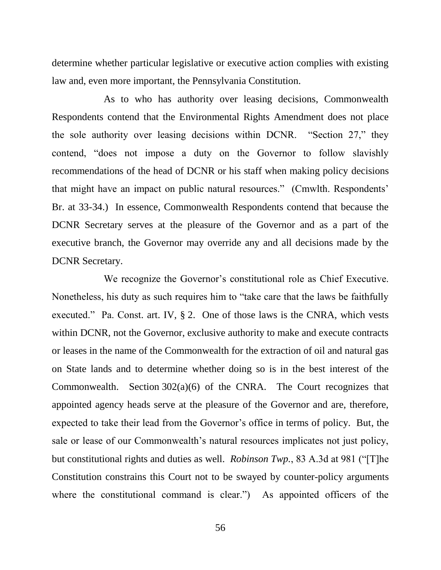determine whether particular legislative or executive action complies with existing law and, even more important, the Pennsylvania Constitution.

As to who has authority over leasing decisions, Commonwealth Respondents contend that the Environmental Rights Amendment does not place the sole authority over leasing decisions within DCNR. "Section 27," they contend, "does not impose a duty on the Governor to follow slavishly recommendations of the head of DCNR or his staff when making policy decisions that might have an impact on public natural resources." (Cmwlth. Respondents' Br. at 33-34.) In essence, Commonwealth Respondents contend that because the DCNR Secretary serves at the pleasure of the Governor and as a part of the executive branch, the Governor may override any and all decisions made by the DCNR Secretary.

We recognize the Governor's constitutional role as Chief Executive. Nonetheless, his duty as such requires him to "take care that the laws be faithfully executed." Pa. Const. art. IV, § 2. One of those laws is the CNRA, which vests within DCNR, not the Governor, exclusive authority to make and execute contracts or leases in the name of the Commonwealth for the extraction of oil and natural gas on State lands and to determine whether doing so is in the best interest of the Commonwealth. Section 302(a)(6) of the CNRA. The Court recognizes that appointed agency heads serve at the pleasure of the Governor and are, therefore, expected to take their lead from the Governor's office in terms of policy. But, the sale or lease of our Commonwealth's natural resources implicates not just policy, but constitutional rights and duties as well. *Robinson Twp.*, 83 A.3d at 981 ("[T]he Constitution constrains this Court not to be swayed by counter-policy arguments where the constitutional command is clear.") As appointed officers of the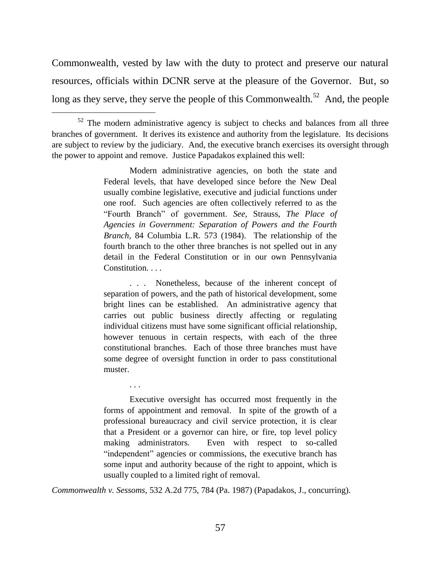Commonwealth, vested by law with the duty to protect and preserve our natural resources, officials within DCNR serve at the pleasure of the Governor. But, so long as they serve, they serve the people of this Commonwealth.<sup>52</sup> And, the people

l

Modern administrative agencies, on both the state and Federal levels, that have developed since before the New Deal usually combine legislative, executive and judicial functions under one roof. Such agencies are often collectively referred to as the "Fourth Branch" of government. *See,* Strauss, *The Place of Agencies in Government: Separation of Powers and the Fourth Branch*, 84 Columbia L.R. 573 (1984). The relationship of the fourth branch to the other three branches is not spelled out in any detail in the Federal Constitution or in our own Pennsylvania Constitution. . . .

. . . Nonetheless, because of the inherent concept of separation of powers, and the path of historical development, some bright lines can be established. An administrative agency that carries out public business directly affecting or regulating individual citizens must have some significant official relationship, however tenuous in certain respects, with each of the three constitutional branches. Each of those three branches must have some degree of oversight function in order to pass constitutional muster.

Executive oversight has occurred most frequently in the forms of appointment and removal. In spite of the growth of a professional bureaucracy and civil service protection, it is clear that a President or a governor can hire, or fire, top level policy making administrators. Even with respect to so-called "independent" agencies or commissions, the executive branch has some input and authority because of the right to appoint, which is usually coupled to a limited right of removal.

*Commonwealth v. Sessoms*, 532 A.2d 775, 784 (Pa. 1987) (Papadakos, J., concurring).

. . .

 $52$  The modern administrative agency is subject to checks and balances from all three branches of government. It derives its existence and authority from the legislature. Its decisions are subject to review by the judiciary. And, the executive branch exercises its oversight through the power to appoint and remove. Justice Papadakos explained this well: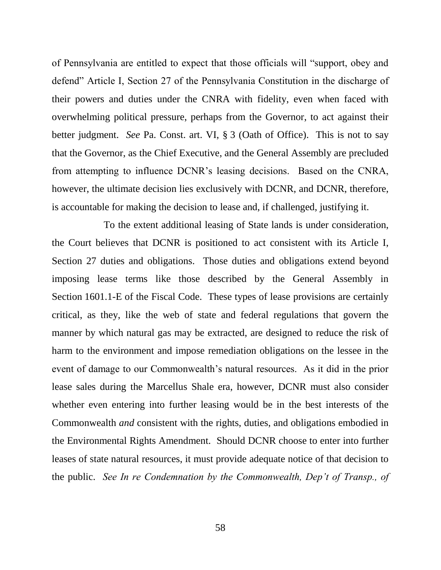of Pennsylvania are entitled to expect that those officials will "support, obey and defend" Article I, Section 27 of the Pennsylvania Constitution in the discharge of their powers and duties under the CNRA with fidelity, even when faced with overwhelming political pressure, perhaps from the Governor, to act against their better judgment. *See* Pa. Const. art. VI, § 3 (Oath of Office). This is not to say that the Governor, as the Chief Executive, and the General Assembly are precluded from attempting to influence DCNR's leasing decisions. Based on the CNRA, however, the ultimate decision lies exclusively with DCNR, and DCNR, therefore, is accountable for making the decision to lease and, if challenged, justifying it.

To the extent additional leasing of State lands is under consideration, the Court believes that DCNR is positioned to act consistent with its Article I, Section 27 duties and obligations. Those duties and obligations extend beyond imposing lease terms like those described by the General Assembly in Section 1601.1-E of the Fiscal Code. These types of lease provisions are certainly critical, as they, like the web of state and federal regulations that govern the manner by which natural gas may be extracted, are designed to reduce the risk of harm to the environment and impose remediation obligations on the lessee in the event of damage to our Commonwealth's natural resources. As it did in the prior lease sales during the Marcellus Shale era, however, DCNR must also consider whether even entering into further leasing would be in the best interests of the Commonwealth *and* consistent with the rights, duties, and obligations embodied in the Environmental Rights Amendment. Should DCNR choose to enter into further leases of state natural resources, it must provide adequate notice of that decision to the public. *See In re Condemnation by the Commonwealth, Dep't of Transp., of*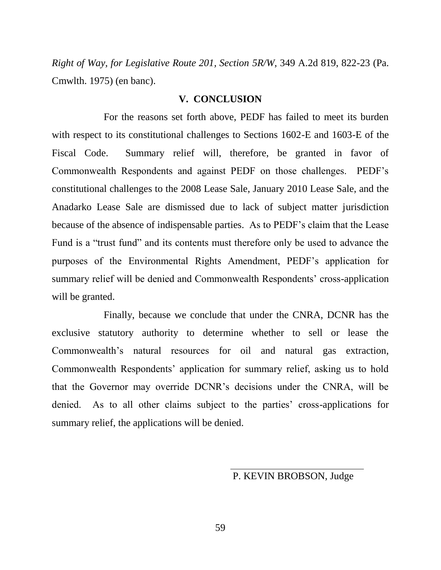*Right of Way, for Legislative Route 201, Section 5R/W*, 349 A.2d 819, 822-23 (Pa. Cmwlth. 1975) (en banc).

#### **V. CONCLUSION**

For the reasons set forth above, PEDF has failed to meet its burden with respect to its constitutional challenges to Sections 1602-E and 1603-E of the Fiscal Code. Summary relief will, therefore, be granted in favor of Commonwealth Respondents and against PEDF on those challenges. PEDF's constitutional challenges to the 2008 Lease Sale, January 2010 Lease Sale, and the Anadarko Lease Sale are dismissed due to lack of subject matter jurisdiction because of the absence of indispensable parties. As to PEDF's claim that the Lease Fund is a "trust fund" and its contents must therefore only be used to advance the purposes of the Environmental Rights Amendment, PEDF's application for summary relief will be denied and Commonwealth Respondents' cross-application will be granted.

Finally, because we conclude that under the CNRA, DCNR has the exclusive statutory authority to determine whether to sell or lease the Commonwealth's natural resources for oil and natural gas extraction, Commonwealth Respondents' application for summary relief, asking us to hold that the Governor may override DCNR's decisions under the CNRA, will be denied. As to all other claims subject to the parties' cross-applications for summary relief, the applications will be denied.

P. KEVIN BROBSON, Judge

59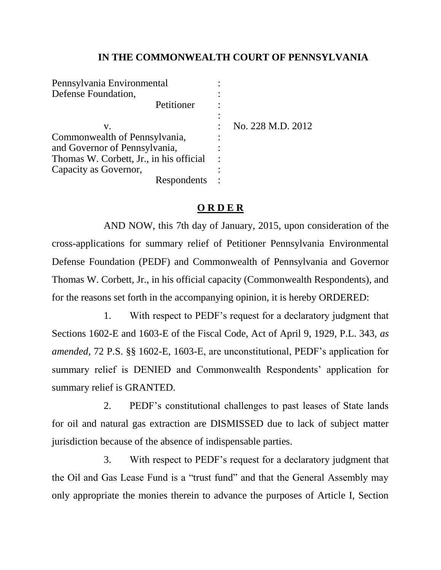### **IN THE COMMONWEALTH COURT OF PENNSYLVANIA**

| Pennsylvania Environmental              |                   |
|-----------------------------------------|-------------------|
| Defense Foundation,                     |                   |
| Petitioner                              |                   |
|                                         |                   |
| V.                                      | No. 228 M.D. 2012 |
| Commonwealth of Pennsylvania,           |                   |
| and Governor of Pennsylvania,           |                   |
| Thomas W. Corbett, Jr., in his official |                   |
| Capacity as Governor,                   |                   |
| Respondents                             |                   |
|                                         |                   |

### **O R D E R**

AND NOW, this 7th day of January, 2015, upon consideration of the cross-applications for summary relief of Petitioner Pennsylvania Environmental Defense Foundation (PEDF) and Commonwealth of Pennsylvania and Governor Thomas W. Corbett, Jr., in his official capacity (Commonwealth Respondents), and for the reasons set forth in the accompanying opinion, it is hereby ORDERED:

1. With respect to PEDF's request for a declaratory judgment that Sections 1602-E and 1603-E of the Fiscal Code, Act of April 9, 1929, P.L. 343, *as amended*, 72 P.S. §§ 1602-E, 1603-E, are unconstitutional, PEDF's application for summary relief is DENIED and Commonwealth Respondents' application for summary relief is GRANTED.

2. PEDF's constitutional challenges to past leases of State lands for oil and natural gas extraction are DISMISSED due to lack of subject matter jurisdiction because of the absence of indispensable parties.

3. With respect to PEDF's request for a declaratory judgment that the Oil and Gas Lease Fund is a "trust fund" and that the General Assembly may only appropriate the monies therein to advance the purposes of Article I, Section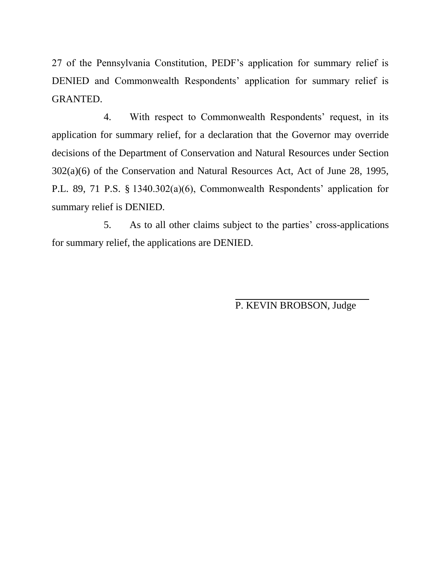27 of the Pennsylvania Constitution, PEDF's application for summary relief is DENIED and Commonwealth Respondents' application for summary relief is GRANTED.

4. With respect to Commonwealth Respondents' request, in its application for summary relief, for a declaration that the Governor may override decisions of the Department of Conservation and Natural Resources under Section 302(a)(6) of the Conservation and Natural Resources Act, Act of June 28, 1995, P.L. 89, 71 P.S. § 1340.302(a)(6), Commonwealth Respondents' application for summary relief is DENIED.

5. As to all other claims subject to the parties' cross-applications for summary relief, the applications are DENIED.

P. KEVIN BROBSON, Judge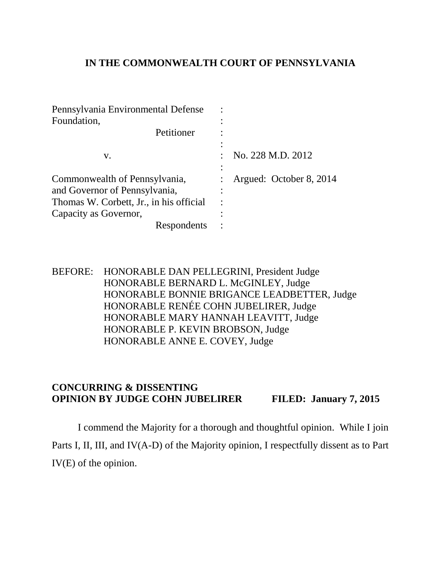### **IN THE COMMONWEALTH COURT OF PENNSYLVANIA**

| Pennsylvania Environmental Defense      |                         |
|-----------------------------------------|-------------------------|
| Foundation,                             |                         |
| Petitioner                              |                         |
|                                         |                         |
| V.                                      | No. 228 M.D. 2012       |
|                                         |                         |
| Commonwealth of Pennsylvania,           | Argued: October 8, 2014 |
| and Governor of Pennsylvania,           |                         |
| Thomas W. Corbett, Jr., in his official |                         |
| Capacity as Governor,                   |                         |
| Respondents                             |                         |

BEFORE: HONORABLE DAN PELLEGRINI, President Judge HONORABLE BERNARD L. McGINLEY, Judge HONORABLE BONNIE BRIGANCE LEADBETTER, Judge HONORABLE RENÉE COHN JUBELIRER, Judge HONORABLE MARY HANNAH LEAVITT, Judge HONORABLE P. KEVIN BROBSON, Judge HONORABLE ANNE E. COVEY, Judge

## **CONCURRING & DISSENTING OPINION BY JUDGE COHN JUBELIRER FILED: January 7, 2015**

I commend the Majority for a thorough and thoughtful opinion. While I join Parts I, II, III, and IV(A-D) of the Majority opinion, I respectfully dissent as to Part IV(E) of the opinion.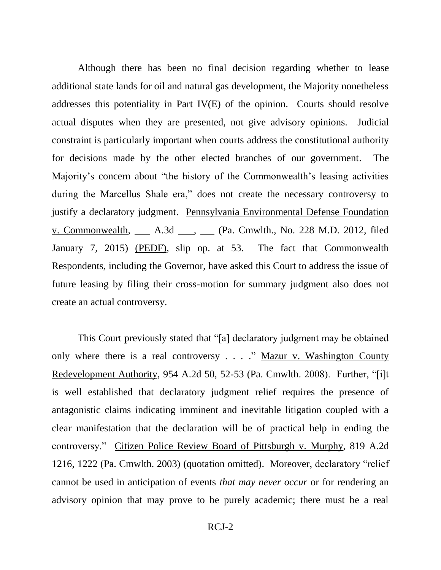Although there has been no final decision regarding whether to lease additional state lands for oil and natural gas development, the Majority nonetheless addresses this potentiality in Part IV(E) of the opinion. Courts should resolve actual disputes when they are presented, not give advisory opinions. Judicial constraint is particularly important when courts address the constitutional authority for decisions made by the other elected branches of our government. The Majority's concern about "the history of the Commonwealth's leasing activities during the Marcellus Shale era," does not create the necessary controversy to justify a declaratory judgment. Pennsylvania Environmental Defense Foundation v. Commonwealth, \_\_\_\_\_ A.3d \_\_\_\_, \_\_\_\_ (Pa. Cmwlth., No. 228 M.D. 2012, filed January 7, 2015) (PEDF), slip op. at 53. The fact that Commonwealth Respondents, including the Governor, have asked this Court to address the issue of future leasing by filing their cross-motion for summary judgment also does not create an actual controversy.

This Court previously stated that "[a] declaratory judgment may be obtained only where there is a real controversy . . . ." Mazur v. Washington County Redevelopment Authority, 954 A.2d 50, 52-53 (Pa. Cmwlth. 2008). Further, "[i]t is well established that declaratory judgment relief requires the presence of antagonistic claims indicating imminent and inevitable litigation coupled with a clear manifestation that the declaration will be of practical help in ending the controversy." Citizen Police Review Board of Pittsburgh v. Murphy, 819 A.2d 1216, 1222 (Pa. Cmwlth. 2003) (quotation omitted). Moreover, declaratory "relief cannot be used in anticipation of events *that may never occur* or for rendering an advisory opinion that may prove to be purely academic; there must be a real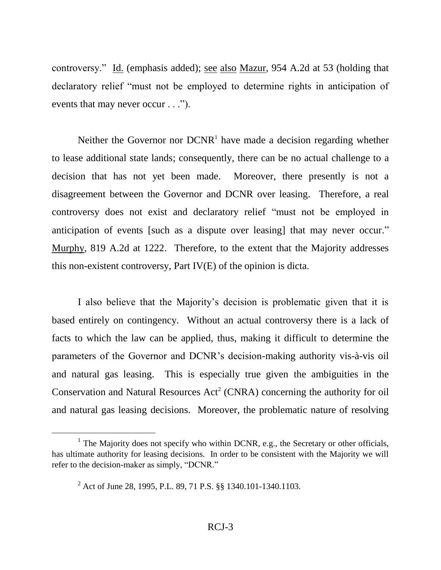controversy." Id. (emphasis added); see also Mazur, 954 A.2d at 53 (holding that declaratory relief "must not be employed to determine rights in anticipation of events that may never occur . . .").

Neither the Governor nor  $DCNR<sup>1</sup>$  have made a decision regarding whether to lease additional state lands; consequently, there can be no actual challenge to a decision that has not yet been made. Moreover, there presently is not a disagreement between the Governor and DCNR over leasing. Therefore, a real controversy does not exist and declaratory relief "must not be employed in anticipation of events [such as a dispute over leasing] that may never occur." Murphy, 819 A.2d at 1222. Therefore, to the extent that the Majority addresses this non-existent controversy, Part IV(E) of the opinion is dicta.

I also believe that the Majority's decision is problematic given that it is based entirely on contingency. Without an actual controversy there is a lack of facts to which the law can be applied, thus, making it difficult to determine the parameters of the Governor and DCNR's decision-making authority vis-à-vis oil and natural gas leasing. This is especially true given the ambiguities in the Conservation and Natural Resources  $Act^2$  (CNRA) concerning the authority for oil and natural gas leasing decisions. Moreover, the problematic nature of resolving

l

<sup>&</sup>lt;sup>1</sup> The Majority does not specify who within DCNR, e.g., the Secretary or other officials, has ultimate authority for leasing decisions. In order to be consistent with the Majority we will refer to the decision-maker as simply, "DCNR."

<sup>2</sup> Act of June 28, 1995, P.L. 89, 71 P.S. §§ 1340.101-1340.1103.